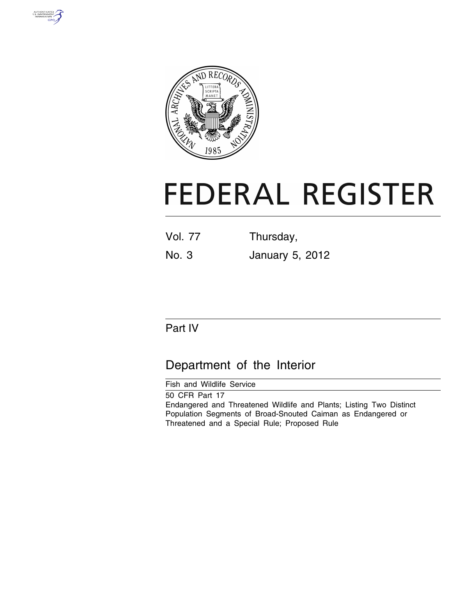



# **FEDERAL REGISTER**

| <b>Vol. 77</b> | Thursday,              |  |  |  |
|----------------|------------------------|--|--|--|
| No. 3          | <b>January 5, 2012</b> |  |  |  |

## Part IV

## Department of the Interior

Fish and Wildlife Service 50 CFR Part 17 Endangered and Threatened Wildlife and Plants; Listing Two Distinct Population Segments of Broad-Snouted Caiman as Endangered or Threatened and a Special Rule; Proposed Rule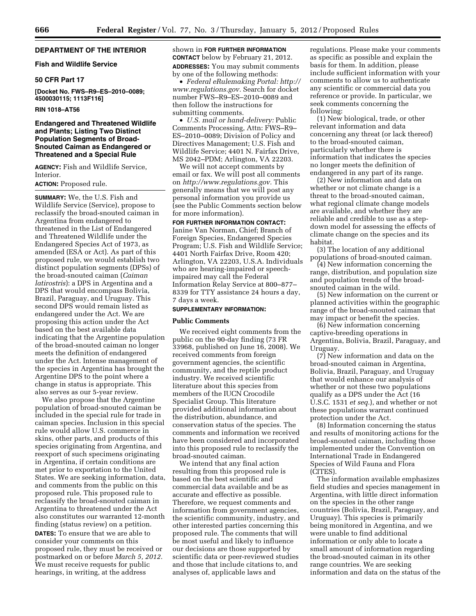#### **DEPARTMENT OF THE INTERIOR**

#### **Fish and Wildlife Service**

#### **50 CFR Part 17**

**[Docket No. FWS–R9–ES–2010–0089; 4500030115; 1113F116]** 

#### **RIN 1018–AT56**

#### **Endangered and Threatened Wildlife and Plants; Listing Two Distinct Population Segments of Broad-Snouted Caiman as Endangered or Threatened and a Special Rule**

**AGENCY:** Fish and Wildlife Service, Interior.

#### **ACTION:** Proposed rule.

**SUMMARY:** We, the U.S. Fish and Wildlife Service (Service), propose to reclassify the broad-snouted caiman in Argentina from endangered to threatened in the List of Endangered and Threatened Wildlife under the Endangered Species Act of 1973, as amended (ESA or Act). As part of this proposed rule, we would establish two distinct population segments (DPSs) of the broad-snouted caiman (*Caiman latirostris*): a DPS in Argentina and a DPS that would encompass Bolivia, Brazil, Paraguay, and Uruguay. This second DPS would remain listed as endangered under the Act. We are proposing this action under the Act based on the best available data indicating that the Argentine population of the broad-snouted caiman no longer meets the definition of endangered under the Act. Intense management of the species in Argentina has brought the Argentine DPS to the point where a change in status is appropriate. This also serves as our 5-year review.

We also propose that the Argentine population of broad-snouted caiman be included in the special rule for trade in caiman species. Inclusion in this special rule would allow U.S. commerce in skins, other parts, and products of this species originating from Argentina, and reexport of such specimens originating in Argentina, if certain conditions are met prior to exportation to the United States. We are seeking information, data, and comments from the public on this proposed rule. This proposed rule to reclassify the broad-snouted caiman in Argentina to threatened under the Act also constitutes our warranted 12-month finding (status review) on a petition. **DATES:** To ensure that we are able to consider your comments on this proposed rule, they must be received or postmarked on or before *March 5, 2012.*  We must receive requests for public hearings, in writing, at the address

shown in **FOR FURTHER INFORMATION CONTACT** below by February 21, 2012. **ADDRESSES:** You may submit comments by one of the following methods:

• *Federal eRulemaking Portal: [http://](http://www.regulations.gov)  [www.regulations.gov.](http://www.regulations.gov)* Search for docket number FWS–R9–ES–2010–0089 and then follow the instructions for submitting comments.

• *U.S. mail or hand-delivery:* Public Comments Processing, Attn: FWS–R9– ES–2010–0089; Division of Policy and Directives Management; U.S. Fish and Wildlife Service; 4401 N. Fairfax Drive, MS 2042–PDM; Arlington, VA 22203.

We will not accept comments by email or fax. We will post all comments on *[http://www.regulations.gov.](http://www.regulations.gov)* This generally means that we will post any personal information you provide us (see the Public Comments section below for more information).

#### **FOR FURTHER INFORMATION CONTACT:**

Janine Van Norman, Chief; Branch of Foreign Species, Endangered Species Program; U.S. Fish and Wildlife Service; 4401 North Fairfax Drive, Room 420; Arlington, VA 22203, U.S.A. Individuals who are hearing-impaired or speechimpaired may call the Federal Information Relay Service at 800–877– 8339 for TTY assistance 24 hours a day, 7 days a week.

#### **SUPPLEMENTARY INFORMATION:**

#### **Public Comments**

We received eight comments from the public on the 90-day finding (73 FR 33968, published on June 16, 2008). We received comments from foreign government agencies, the scientific community, and the reptile product industry. We received scientific literature about this species from members of the IUCN Crocodile Specialist Group. This literature provided additional information about the distribution, abundance, and conservation status of the species. The comments and information we received have been considered and incorporated into this proposed rule to reclassify the broad-snouted caiman.

We intend that any final action resulting from this proposed rule is based on the best scientific and commercial data available and be as accurate and effective as possible. Therefore, we request comments and information from government agencies, the scientific community, industry, and other interested parties concerning this proposed rule. The comments that will be most useful and likely to influence our decisions are those supported by scientific data or peer-reviewed studies and those that include citations to, and analyses of, applicable laws and

regulations. Please make your comments as specific as possible and explain the basis for them. In addition, please include sufficient information with your comments to allow us to authenticate any scientific or commercial data you reference or provide. In particular, we seek comments concerning the following:

(1) New biological, trade, or other relevant information and data concerning any threat (or lack thereof) to the broad-snouted caiman, particularly whether there is information that indicates the species no longer meets the definition of endangered in any part of its range.

(2) New information and data on whether or not climate change is a threat to the broad-snouted caiman, what regional climate change models are available, and whether they are reliable and credible to use as a stepdown model for assessing the effects of climate change on the species and its habitat.

(3) The location of any additional populations of broad-snouted caiman.

(4) New information concerning the range, distribution, and population size and population trends of the broadsnouted caiman in the wild.

(5) New information on the current or planned activities within the geographic range of the broad-snouted caiman that may impact or benefit the species.

(6) New information concerning captive-breeding operations in Argentina, Bolivia, Brazil, Paraguay, and Uruguay.

(7) New information and data on the broad-snouted caiman in Argentina, Bolivia, Brazil, Paraguay, and Uruguay that would enhance our analysis of whether or not these two populations qualify as a DPS under the Act (16 U.S.C. 1531 *et seq.*), and whether or not these populations warrant continued protection under the Act.

(8) Information concerning the status and results of monitoring actions for the broad-snouted caiman, including those implemented under the Convention on International Trade in Endangered Species of Wild Fauna and Flora (CITES).

The information available emphasizes field studies and species management in Argentina, with little direct information on the species in the other range countries (Bolivia, Brazil, Paraguay, and Uruguay). This species is primarily being monitored in Argentina, and we were unable to find additional information or only able to locate a small amount of information regarding the broad-snouted caiman in its other range countries. We are seeking information and data on the status of the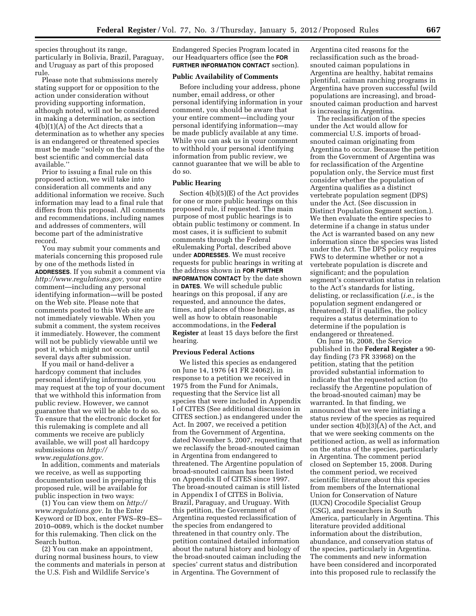species throughout its range, particularly in Bolivia, Brazil, Paraguay, and Uruguay as part of this proposed rule.

Please note that submissions merely stating support for or opposition to the action under consideration without providing supporting information, although noted, will not be considered in making a determination, as section 4(b)(1)(A) of the Act directs that a determination as to whether any species is an endangered or threatened species must be made ''solely on the basis of the best scientific and commercial data available.''

Prior to issuing a final rule on this proposed action, we will take into consideration all comments and any additional information we receive. Such information may lead to a final rule that differs from this proposal. All comments and recommendations, including names and addresses of commenters, will become part of the administrative record.

You may submit your comments and materials concerning this proposed rule by one of the methods listed in **ADDRESSES**. If you submit a comment via *[http://www.regulations.gov,](http://www.regulations.gov)* your entire comment—including any personal identifying information—will be posted on the Web site. Please note that comments posted to this Web site are not immediately viewable. When you submit a comment, the system receives it immediately. However, the comment will not be publicly viewable until we post it, which might not occur until several days after submission.

If you mail or hand-deliver a hardcopy comment that includes personal identifying information, you may request at the top of your document that we withhold this information from public review. However, we cannot guarantee that we will be able to do so. To ensure that the electronic docket for this rulemaking is complete and all comments we receive are publicly available, we will post all hardcopy submissions on *[http://](http://www.regulations.gov)  [www.regulations.gov.](http://www.regulations.gov)* 

In addition, comments and materials we receive, as well as supporting documentation used in preparing this proposed rule, will be available for public inspection in two ways:

(1) You can view them on *[http://](http://www.regulations.gov) [www.regulations.gov.](http://www.regulations.gov)* In the Enter Keyword or ID box, enter FWS–R9–ES– 2010–0089, which is the docket number for this rulemaking. Then click on the Search button.

(2) You can make an appointment, during normal business hours, to view the comments and materials in person at the U.S. Fish and Wildlife Service's

Endangered Species Program located in our Headquarters office (see the **FOR FURTHER INFORMATION CONTACT** section).

#### **Public Availability of Comments**

Before including your address, phone number, email address, or other personal identifying information in your comment, you should be aware that your entire comment—including your personal identifying information—may be made publicly available at any time. While you can ask us in your comment to withhold your personal identifying information from public review, we cannot guarantee that we will be able to do so.

#### **Public Hearing**

Section 4(b)(5)(E) of the Act provides for one or more public hearings on this proposed rule, if requested. The main purpose of most public hearings is to obtain public testimony or comment. In most cases, it is sufficient to submit comments through the Federal eRulemaking Portal, described above under **ADDRESSES**. We must receive requests for public hearings in writing at the address shown in **FOR FURTHER INFORMATION CONTACT** by the date shown in **DATES**. We will schedule public hearings on this proposal, if any are requested, and announce the dates, times, and places of those hearings, as well as how to obtain reasonable accommodations, in the **Federal Register** at least 15 days before the first hearing.

#### **Previous Federal Actions**

We listed this species as endangered on June 14, 1976 (41 FR 24062), in response to a petition we received in 1975 from the Fund for Animals, requesting that the Service list all species that were included in Appendix I of CITES (See additional discussion in CITES section.) as endangered under the Act. In 2007, we received a petition from the Government of Argentina, dated November 5, 2007, requesting that we reclassify the broad-snouted caiman in Argentina from endangered to threatened. The Argentine population of broad-snouted caiman has been listed on Appendix II of CITES since 1997. The broad-snouted caiman is still listed in Appendix I of CITES in Bolivia, Brazil, Paraguay, and Uruguay. With this petition, the Government of Argentina requested reclassification of the species from endangered to threatened in that country only. The petition contained detailed information about the natural history and biology of the broad-snouted caiman including the species' current status and distribution in Argentina. The Government of

Argentina cited reasons for the reclassification such as the broadsnouted caiman populations in Argentina are healthy, habitat remains plentiful, caiman ranching programs in Argentina have proven successful (wild populations are increasing), and broadsnouted caiman production and harvest is increasing in Argentina.

The reclassification of the species under the Act would allow for commercial U.S. imports of broadsnouted caiman originating from Argentina to occur. Because the petition from the Government of Argentina was for reclassification of the Argentine population only, the Service must first consider whether the population of Argentina qualifies as a distinct vertebrate population segment (DPS) under the Act. (See discussion in Distinct Population Segment section.). We then evaluate the entire species to determine if a change in status under the Act is warranted based on any new information since the species was listed under the Act. The DPS policy requires FWS to determine whether or not a vertebrate population is discrete and significant; and the population segment's conservation status in relation to the Act's standards for listing, delisting, or reclassification (*i.e.,* is the population segment endangered or threatened). If it qualifies, the policy requires a status determination to determine if the population is endangered or threatened.

On June 16, 2008, the Service published in the **Federal Register** a 90 day finding (73 FR 33968) on the petition, stating that the petition provided substantial information to indicate that the requested action (to reclassify the Argentine population of the broad-snouted caiman) may be warranted. In that finding, we announced that we were initiating a status review of the species as required under section 4(b)(3)(A) of the Act, and that we were seeking comments on the petitioned action, as well as information on the status of the species, particularly in Argentina. The comment period closed on September 15, 2008. During the comment period, we received scientific literature about this species from members of the International Union for Conservation of Nature (IUCN) Crocodile Specialist Group (CSG), and researchers in South America, particularly in Argentina. This literature provided additional information about the distribution, abundance, and conservation status of the species, particularly in Argentina. The comments and new information have been considered and incorporated into this proposed rule to reclassify the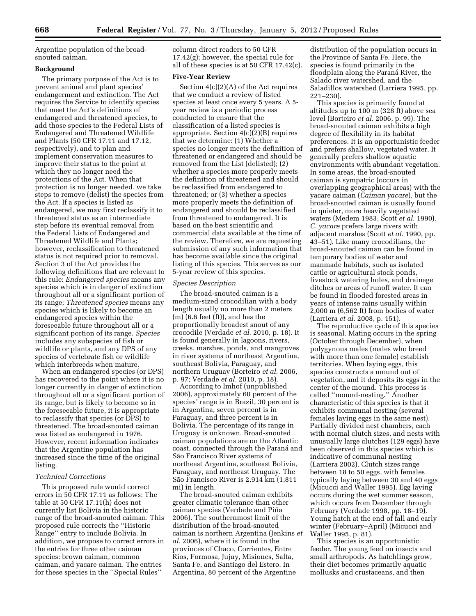Argentine population of the broadsnouted caiman.

#### **Background**

The primary purpose of the Act is to prevent animal and plant species' endangerment and extinction. The Act requires the Service to identify species that meet the Act's definitions of endangered and threatened species, to add those species to the Federal Lists of Endangered and Threatened Wildlife and Plants (50 CFR 17.11 and 17.12, respectively), and to plan and implement conservation measures to improve their status to the point at which they no longer need the protections of the Act. When that protection is no longer needed, we take steps to remove (delist) the species from the Act. If a species is listed as endangered, we may first reclassify it to threatened status as an intermediate step before its eventual removal from the Federal Lists of Endangered and Threatened Wildlife and Plants; however, reclassification to threatened status is not required prior to removal. Section 3 of the Act provides the following definitions that are relevant to this rule: *Endangered species* means any species which is in danger of extinction throughout all or a significant portion of its range; *Threatened species* means any species which is likely to become an endangered species within the foreseeable future throughout all or a significant portion of its range. *Species*  includes any subspecies of fish or wildlife or plants, and any DPS of any species of vertebrate fish or wildlife which interbreeds when mature.

When an endangered species (or DPS) has recovered to the point where it is no longer currently in danger of extinction throughout all or a significant portion of its range, but is likely to become so in the foreseeable future, it is appropriate to reclassify that species (or DPS) to threatened. The broad-snouted caiman was listed as endangered in 1976. However, recent information indicates that the Argentine population has increased since the time of the original listing.

#### *Technical Corrections*

This proposed rule would correct errors in 50 CFR 17.11 as follows: The table at 50 CFR 17.11(h) does not currently list Bolivia in the historic range of the broad-snouted caiman. This proposed rule corrects the ''Historic Range'' entry to include Bolivia. In addition, we propose to correct errors in the entries for three other caiman species: brown caiman, common caiman, and yacare caiman. The entries for these species in the ''Special Rules''

column direct readers to 50 CFR 17.42(g); however, the special rule for all of these species is at 50 CFR 17.42(c).

#### **Five-Year Review**

Section 4(c)(2)(A) of the Act requires that we conduct a review of listed species at least once every 5 years. A 5 year review is a periodic process conducted to ensure that the classification of a listed species is appropriate. Section 4(c)(2)(B) requires that we determine: (1) Whether a species no longer meets the definition of threatened or endangered and should be removed from the List (delisted); (2) whether a species more properly meets the definition of threatened and should be reclassified from endangered to threatened; or (3) whether a species more properly meets the definition of endangered and should be reclassified from threatened to endangered. It is based on the best scientific and commercial data available at the time of the review. Therefore, we are requesting submission of any such information that has become available since the original listing of this species. This serves as our 5-year review of this species.

#### *Species Description*

The broad-snouted caiman is a medium-sized crocodilian with a body length usually no more than 2 meters (m) (6.6 feet (ft)), and has the proportionally broadest snout of any crocodile (Verdade *et al.* 2010, p. 18). It is found generally in lagoons, rivers, creeks, marshes, ponds, and mangroves in river systems of northeast Argentina, southeast Bolivia, Paraguay, and northern Uruguay (Borteiro *et al.* 2006, p. 97; Verdade *et al.* 2010, p. 18).

According to Imhof (unpublished 2006), approximately 60 percent of the species' range is in Brazil, 30 percent is in Argentina, seven percent is in Paraguay, and three percent is in Bolivia. The percentage of its range in Uruguay is unknown. Broad-snouted caiman populations are on the Atlantic coast, connected through the Paraná and São Francisco River systems of northeast Argentina, southeast Bolivia, Paraguay, and northeast Uruguay. The São Francisco River is 2,914 km (1,811) mi) in length.

The broad-snouted caiman exhibits greater climatic tolerance than other caiman species (Verdade and Piña 2006). The southernmost limit of the distribution of the broad-snouted caiman is northern Argentina (Jenkins *et al.* 2006), where it is found in the provinces of Chaco, Corrientes, Entre Rı´os, Formosa, Jujuy, Misiones, Salta, Santa Fe, and Santiago del Estero. In Argentina, 80 percent of the Argentine

distribution of the population occurs in the Province of Santa Fe. Here, the species is found primarily in the floodplain along the Paraná River, the Salado river watershed, and the Saladillos watershed (Larriera 1995, pp. 221–230).

This species is primarily found at altitudes up to 100 m (328 ft) above sea level (Borteiro *et al.* 2006, p. 99). The broad-snouted caiman exhibits a high degree of flexibility in its habitat preferences. It is an opportunistic feeder and prefers shallow, vegetated water. It generally prefers shallow aquatic environments with abundant vegetation. In some areas, the broad-snouted caiman is sympatric (occurs in overlapping geographical areas) with the yacare caiman (*Caiman yacare*), but the broad-snouted caiman is usually found in quieter, more heavily vegetated waters (Medem 1983, Scott *et al.* 1990). *C. yacare* prefers large rivers with adjacent marshes (Scott *et al.* 1990, pp. 43–51). Like many crocodilians, the broad-snouted caiman can be found in temporary bodies of water and manmade habitats, such as isolated cattle or agricultural stock ponds, livestock watering holes, and drainage ditches or areas of runoff water. It can be found in flooded forested areas in years of intense rains usually within 2,000 m (6,562 ft) from bodies of water (Larriera *et al.* 2008, p. 151).

The reproductive cycle of this species is seasonal. Mating occurs in the spring (October through December), when polygynous males (males who breed with more than one female) establish territories. When laying eggs, this species constructs a mound out of vegetation, and it deposits its eggs in the center of the mound. This process is called ''mound-nesting.'' Another characteristic of this species is that it exhibits communal nesting (several females laying eggs in the same nest). Partially divided nest chambers, each with normal clutch sizes, and nests with unusually large clutches (129 eggs) have been observed in this species which is indicative of communal nesting (Larriera 2002). Clutch sizes range between 18 to 50 eggs, with females typically laying between 30 and 40 eggs (Micucci and Waller 1995). Egg laying occurs during the wet summer season, which occurs from December through February (Verdade 1998, pp. 18–19). Young hatch at the end of fall and early winter (February–April) (Micucci and Waller 1995, p. 81).

This species is an opportunistic feeder. The young feed on insects and small arthropods. As hatchlings grow, their diet becomes primarily aquatic mollusks and crustaceans, and then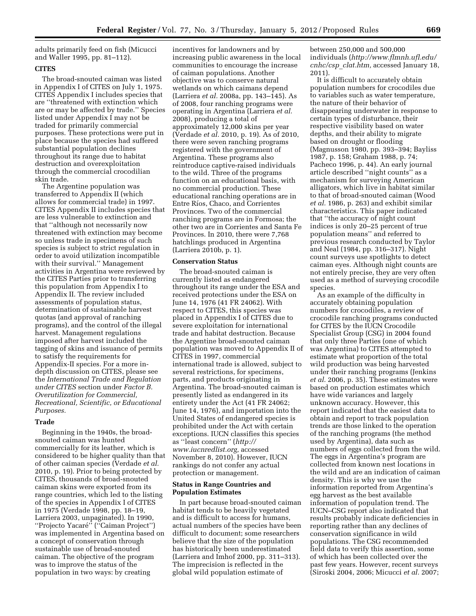adults primarily feed on fish (Micucci and Waller 1995, pp. 81–112).

#### **CITES**

The broad-snouted caiman was listed in Appendix I of CITES on July 1, 1975. CITES Appendix I includes species that are ''threatened with extinction which are or may be affected by trade.'' Species listed under Appendix I may not be traded for primarily commercial purposes. These protections were put in place because the species had suffered substantial population declines throughout its range due to habitat destruction and overexploitation through the commercial crocodilian skin trade.

The Argentine population was transferred to Appendix II (which allows for commercial trade) in 1997. CITES Appendix II includes species that are less vulnerable to extinction and that ''although not necessarily now threatened with extinction may become so unless trade in specimens of such species is subject to strict regulation in order to avoid utilization incompatible with their survival.'' Management activities in Argentina were reviewed by the CITES Parties prior to transferring this population from Appendix I to Appendix II. The review included assessments of population status, determination of sustainable harvest quotas (and approval of ranching programs), and the control of the illegal harvest. Management regulations imposed after harvest included the tagging of skins and issuance of permits to satisfy the requirements for Appendix-II species. For a more indepth discussion on CITES, please see the *International Trade and Regulation under CITES* section under *Factor B. Overutilization for Commercial, Recreational, Scientific, or Educational Purposes.* 

#### **Trade**

Beginning in the 1940s, the broadsnouted caiman was hunted commercially for its leather, which is considered to be higher quality than that of other caiman species (Verdade *et al.*  2010, p. 19). Prior to being protected by CITES, thousands of broad-snouted caiman skins were exported from its range countries, which led to the listing of the species in Appendix I of CITES in 1975 (Verdade 1998, pp. 18–19, Larriera 2003, unpaginated). In 1990, ''Projecto Yacare´'' (''Caiman Project'') was implemented in Argentina based on a concept of conservation through sustainable use of broad-snouted caiman. The objective of the program was to improve the status of the population in two ways: by creating

incentives for landowners and by increasing public awareness in the local communities to encourage the increase of caiman populations. Another objective was to conserve natural wetlands on which caimans depend (Larriera *et al.* 2008a, pp. 143–145). As of 2008, four ranching programs were operating in Argentina (Larriera *et al.*  2008), producing a total of approximately 12,000 skins per year (Verdade *et al.* 2010, p. 19). As of 2010, there were seven ranching programs registered with the government of Argentina. These programs also reintroduce captive-raised individuals to the wild. Three of the programs function on an educational basis, with no commercial production. These educational ranching operations are in Entre Ríos, Chaco, and Corrientes Provinces. Two of the commercial ranching programs are in Formosa; the other two are in Corrientes and Santa Fe Provinces. In 2010, there were 7,768 hatchlings produced in Argentina (Larriera 2010b, p. 1).

#### **Conservation Status**

The broad-snouted caiman is currently listed as endangered throughout its range under the ESA and received protections under the ESA on June 14, 1976 (41 FR 24062). With respect to CITES, this species was placed in Appendix I of CITES due to severe exploitation for international trade and habitat destruction. Because the Argentine broad-snouted caiman population was moved to Appendix II of CITES in 1997, commercial international trade is allowed, subject to several restrictions, for specimens, parts, and products originating in Argentina. The broad-snouted caiman is presently listed as endangered in its entirety under the Act (41 FR 24062; June 14, 1976), and importation into the United States of endangered species is prohibited under the Act with certain exceptions. IUCN classifies this species as ''least concern'' (*[http://](http://www.iucnredlist.org) [www.iucnredlist.org,](http://www.iucnredlist.org)* accessed November 8, 2010). However, IUCN rankings do not confer any actual protection or management.

#### **Status in Range Countries and Population Estimates**

In part because broad-snouted caiman habitat tends to be heavily vegetated and is difficult to access for humans, actual numbers of the species have been difficult to document; some researchers believe that the size of the population has historically been underestimated (Larriera and Imhof 2000, pp. 311–313). The imprecision is reflected in the global wild population estimate of

between 250,000 and 500,000 individuals (*[http://www.flmnh.ufl.edu/](http://www.flmnh.ufl.edu/cnhc/csp_clat.htm)  [cnhc/csp](http://www.flmnh.ufl.edu/cnhc/csp_clat.htm)*\_*clat.htm,* accessed January 18, 2011).

It is difficult to accurately obtain population numbers for crocodiles due to variables such as water temperature, the nature of their behavior of disappearing underwater in response to certain types of disturbance, their respective visibility based on water depths, and their ability to migrate based on drought or flooding (Magnusson 1980, pp. 393–394; Bayliss 1987, p. 158; Graham 1988, p. 74; Pacheco 1996, p. 44). An early journal article described ''night counts'' as a mechanism for surveying American alligators, which live in habitat similar to that of broad-snouted caiman (Wood *et al.* 1986, p. 263) and exhibit similar characteristics. This paper indicated that ''the accuracy of night count indices is only 20–25 percent of true population means'' and referred to previous research conducted by Taylor and Neal (1984, pp. 316–317). Night count surveys use spotlights to detect caiman eyes. Although night counts are not entirely precise, they are very often used as a method of surveying crocodile species.

As an example of the difficulty in accurately obtaining population numbers for crocodiles, a review of crocodile ranching programs conducted for CITES by the IUCN Crocodile Specialist Group (CSG) in 2004 found that only three Parties (one of which was Argentina) to CITES attempted to estimate what proportion of the total wild production was being harvested under their ranching programs (Jenkins *et al.* 2006, p. 35). These estimates were based on production estimates which have wide variances and largely unknown accuracy. However, this report indicated that the easiest data to obtain and report to track population trends are those linked to the operation of the ranching programs (the method used by Argentina), data such as numbers of eggs collected from the wild. The eggs in Argentina's program are collected from known nest locations in the wild and are an indication of caiman density. This is why we use the information reported from Argentina's egg harvest as the best available information of population trend. The IUCN–CSG report also indicated that results probably indicate deficiencies in reporting rather than any declines of conservation significance in wild populations. The CSG recommended field data to verify this assertion, some of which has been collected over the past few years. However, recent surveys (Siroski 2004, 2006; Micucci *et al.* 2007;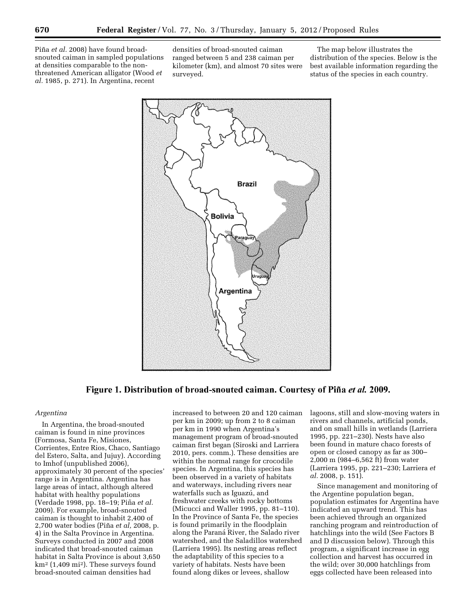Piña et al. 2008) have found broadsnouted caiman in sampled populations at densities comparable to the nonthreatened American alligator (Wood *et al.* 1985, p. 271). In Argentina, recent

densities of broad-snouted caiman ranged between 5 and 238 caiman per kilometer (km), and almost 70 sites were surveyed.

The map below illustrates the distribution of the species. Below is the best available information regarding the status of the species in each country.



Figure 1. Distribution of broad-snouted caiman. Courtesy of Piña et al. 2009.

#### *Argentina*

In Argentina, the broad-snouted caiman is found in nine provinces (Formosa, Santa Fe, Misiones, Corrientes, Entre Rios, Chaco, Santiago del Estero, Salta, and Jujuy). According to Imhof (unpublished 2006), approximately 30 percent of the species' range is in Argentina. Argentina has large areas of intact, although altered habitat with healthy populations (Verdade 1998, pp. 18–19; Piña *et al.* 2009). For example, broad-snouted caiman is thought to inhabit 2,400 of 2,700 water bodies (Piña et al, 2008, p. 4) in the Salta Province in Argentina. Surveys conducted in 2007 and 2008 indicated that broad-snouted caiman habitat in Salta Province is about 3,650 km2 (1,409 mi2). These surveys found broad-snouted caiman densities had

increased to between 20 and 120 caiman per km in 2009; up from 2 to 8 caiman per km in 1990 when Argentina's management program of broad-snouted caiman first began (Siroski and Larriera 2010, pers. comm.). These densities are within the normal range for crocodile species. In Argentina, this species has been observed in a variety of habitats and waterways, including rivers near waterfalls such as Iguazu, and freshwater creeks with rocky bottoms (Micucci and Waller 1995, pp. 81–110). In the Province of Santa Fe, the species is found primarily in the floodplain along the Paraná River, the Salado river watershed, and the Saladillos watershed (Larriera 1995). Its nesting areas reflect the adaptability of this species to a variety of habitats. Nests have been found along dikes or levees, shallow

lagoons, still and slow-moving waters in rivers and channels, artificial ponds, and on small hills in wetlands (Larriera 1995, pp. 221–230). Nests have also been found in mature chaco forests of open or closed canopy as far as 300– 2,000 m (984–6,562 ft) from water (Larriera 1995, pp. 221–230; Larriera *et al.* 2008, p. 151).

Since management and monitoring of the Argentine population began, population estimates for Argentina have indicated an upward trend. This has been achieved through an organized ranching program and reintroduction of hatchlings into the wild (See Factors B and D discussion below). Through this program, a significant increase in egg collection and harvest has occurred in the wild; over 30,000 hatchlings from eggs collected have been released into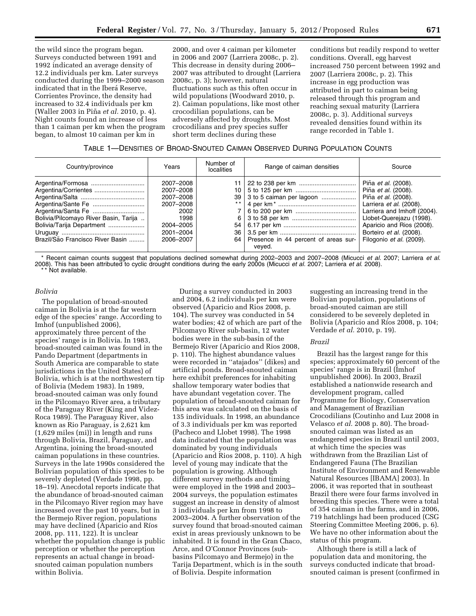the wild since the program began. Surveys conducted between 1991 and 1992 indicated an average density of 12.2 individuals per km. Later surveys conducted during the 1999–2000 season indicated that in the Iberá Reserve, Corrientes Province, the density had increased to 32.4 individuals per km (Waller 2003 in Pin˜ a *et al.* 2010, p. 4). Night counts found an increase of less than 1 caiman per km when the program began, to almost 10 caiman per km in

2000, and over 4 caiman per kilometer in 2006 and 2007 (Larriera 2008c, p. 2). This decrease in density during 2006– 2007 was attributed to drought (Larriera 2008c, p. 3); however, natural fluctuations such as this often occur in wild populations (Woodward 2010, p. 2). Caiman populations, like most other crocodilian populations, can be adversely affected by droughts. Most crocodilians and prey species suffer short term declines during these

conditions but readily respond to wetter conditions. Overall, egg harvest increased 750 percent between 1992 and 2007 (Larriera 2008c, p. 2). This increase in egg production was attributed in part to caiman being released through this program and reaching sexual maturity (Larriera 2008c, p. 3). Additional surveys revealed densities found within its range recorded in Table 1.

| Country/province                                                                                       | Years                                                                                                   | Number of<br><b>localities</b>                  | Range of caiman densities                                                       | Source                                                                                                                                                                                                                                      |
|--------------------------------------------------------------------------------------------------------|---------------------------------------------------------------------------------------------------------|-------------------------------------------------|---------------------------------------------------------------------------------|---------------------------------------------------------------------------------------------------------------------------------------------------------------------------------------------------------------------------------------------|
| Bolivia/Pilcomayo River Basin, Tarija<br>Bolivia/Tarija Department<br>Brazil/São Francisco River Basin | 2007-2008<br>2007-2008<br>2007-2008<br>2007-2008<br>2002<br>1998<br>2004-2005<br>2001-2004<br>2006-2007 | 10 <sup>1</sup><br>39<br>6 I<br>$54 \mid$<br>36 | 3 to 5 caiman per lagoon<br>64   Presence in 44 percent of areas sur-<br>veved. | Piña et al. (2008).<br>Piña et al. (2008).<br>Piña et al. (2008).<br>Larriera et al. (2008).<br>Larriera and Imhoff (2004).<br>Llobet-Querejazu (1998).<br>Aparicio and Rios (2008).<br>Borteiro et al. (2008).<br>Filogonio et al. (2009). |

\* Recent caiman counts suggest that populations declined somewhat during 2002–2003 and 2007–2008 (Micucci *et al.* 2007; Larriera *et al.*  2008). This has been attributed to cyclic drought conditions during the early 2000s (Micucci *et al.* 2007; Larriera *et al.* 2008). \* Not available.

#### *Bolivia*

The population of broad-snouted caiman in Bolivia is at the far western edge of the species' range. According to Imhof (unpublished 2006), approximately three percent of the species' range is in Bolivia. In 1983, broad-snouted caiman was found in the Pando Department (departments in South America are comparable to state jurisdictions in the United States) of Bolivia, which is at the northwestern tip of Bolivia (Medem 1983). In 1989, broad-snouted caiman was only found in the Pilcomayo River area, a tributary of the Paraguay River (King and Videz-Roca 1989). The Paraguay River, also known as Rio Paraguay, is 2,621 km (1,629 miles (mi)) in length and runs through Bolivia, Brazil, Paraguay, and Argentina, joining the broad-snouted caiman populations in these countries. Surveys in the late 1990s considered the Bolivian population of this species to be severely depleted (Verdade 1998, pp. 18–19). Anecdotal reports indicate that the abundance of broad-snouted caiman in the Pilcomayo River region may have increased over the past 10 years, but in the Bermejo River region, populations may have declined (Aparicio and Ríos 2008, pp. 111, 122). It is unclear whether the population change is public perception or whether the perception represents an actual change in broadsnouted caiman population numbers within Bolivia.

During a survey conducted in 2003 and 2004, 6.2 individuals per km were observed (Aparicio and Rios 2008, p. 104). The survey was conducted in 54 water bodies; 42 of which are part of the Pilcomayo River sub-basin, 12 water bodies were in the sub-basin of the Bermejo River (Aparicio and Rios 2008, p. 110). The highest abundance values were recorded in ''atajados'' (dikes) and artificial ponds. Broad-snouted caiman here exhibit preferences for inhabiting shallow temporary water bodies that have abundant vegetation cover. The population of broad-snouted caiman for this area was calculated on the basis of 135 individuals. In 1998, an abundance of 3.3 individuals per km was reported (Pacheco and Llobet 1998). The 1998 data indicated that the population was dominated by young individuals (Aparicio and Rios 2008, p. 110). A high level of young may indicate that the population is growing. Although different survey methods and timing were employed in the 1998 and 2003– 2004 surveys, the population estimates suggest an increase in density of almost 3 individuals per km from 1998 to 2003–2004. A further observation of the survey found that broad-snouted caiman exist in areas previously unknown to be inhabited. It is found in the Gran Chaco, Arce, and O'Connor Provinces (subbasins Pilcomayo and Bermejo) in the Tarija Department, which is in the south of Bolivia. Despite information

suggesting an increasing trend in the Bolivian population, populations of broad-snouted caiman are still considered to be severely depleted in Bolivia (Aparicio and Ríos 2008, p. 104; Verdade *et al.* 2010, p. 19).

#### *Brazil*

Brazil has the largest range for this species; approximately 60 percent of the species' range is in Brazil (Imhof unpublished 2006). In 2003, Brazil established a nationwide research and development program, called Programme for Biology, Conservation and Management of Brazilian Crocodilians (Coutinho and Luz 2008 in Velasco *et al.* 2008 p. 80). The broadsnouted caiman was listed as an endangered species in Brazil until 2003, at which time the species was withdrawn from the Brazilian List of Endangered Fauna (The Brazilian Institute of Environment and Renewable Natural Resources [IBAMA] 2003). In 2006, it was reported that in southeast Brazil there were four farms involved in breeding this species. There were a total of 354 caiman in the farms, and in 2006, 719 hatchlings had been produced (CSG Steering Committee Meeting 2006, p. 6). We have no other information about the status of this program.

Although there is still a lack of population data and monitoring, the surveys conducted indicate that broadsnouted caiman is present (confirmed in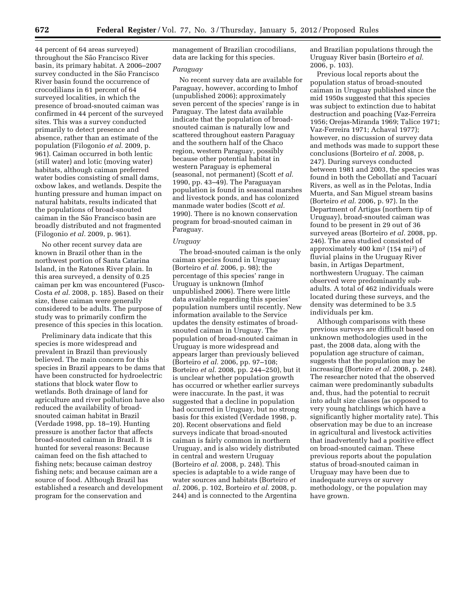44 percent of 64 areas surveyed) throughout the São Francisco River basin, its primary habitat. A 2006–2007 survey conducted in the São Francisco River basin found the occurrence of crocodilians in 61 percent of 64 surveyed localities, in which the presence of broad-snouted caiman was confirmed in 44 percent of the surveyed sites. This was a survey conducted primarily to detect presence and absence, rather than an estimate of the population (Filogonio *et al.* 2009, p. 961). Caiman occurred in both lentic (still water) and lotic (moving water) habitats, although caiman preferred water bodies consisting of small dams, oxbow lakes, and wetlands. Despite the hunting pressure and human impact on natural habitats, results indicated that the populations of broad-snouted caiman in the São Francisco basin are broadly distributed and not fragmented (Filogonio *et al.* 2009, p. 961).

No other recent survey data are known in Brazil other than in the northwest portion of Santa Catarina Island, in the Ratones River plain. In this area surveyed, a density of 0.25 caiman per km was encountered (Fusco-Costa *et al.* 2008, p. 185). Based on their size, these caiman were generally considered to be adults. The purpose of study was to primarily confirm the presence of this species in this location.

Preliminary data indicate that this species is more widespread and prevalent in Brazil than previously believed. The main concern for this species in Brazil appears to be dams that have been constructed for hydroelectric stations that block water flow to wetlands. Both drainage of land for agriculture and river pollution have also reduced the availability of broadsnouted caiman habitat in Brazil (Verdade 1998, pp. 18–19). Hunting pressure is another factor that affects broad-snouted caiman in Brazil. It is hunted for several reasons: Because caiman feed on the fish attached to fishing nets; because caiman destroy fishing nets; and because caiman are a source of food. Although Brazil has established a research and development program for the conservation and

management of Brazilian crocodilians, data are lacking for this species.

#### *Paraguay*

No recent survey data are available for Paraguay, however, according to Imhof (unpublished 2006); approximately seven percent of the species' range is in Paraguay. The latest data available indicate that the population of broadsnouted caiman is naturally low and scattered throughout eastern Paraguay and the southern half of the Chaco region, western Paraguay, possibly because other potential habitat in western Paraguay is ephemeral (seasonal, not permanent) (Scott *et al.*  1990, pp. 43–49). The Paraguayan population is found in seasonal marshes and livestock ponds, and has colonized manmade water bodies (Scott *et al.*  1990). There is no known conservation program for broad-snouted caiman in Paraguay.

#### *Uruguay*

The broad-snouted caiman is the only caiman species found in Uruguay (Borteiro *et al.* 2006, p. 98); the percentage of this species' range in Uruguay is unknown (Imhof unpublished 2006). There were little data available regarding this species' population numbers until recently. New information available to the Service updates the density estimates of broadsnouted caiman in Uruguay. The population of broad-snouted caiman in Uruguay is more widespread and appears larger than previously believed (Borteiro *et al.* 2006, pp. 97–108; Borteiro *et al.* 2008, pp. 244–250), but it is unclear whether population growth has occurred or whether earlier surveys were inaccurate. In the past, it was suggested that a decline in population had occurred in Uruguay, but no strong basis for this existed (Verdade 1998, p. 20). Recent observations and field surveys indicate that broad-snouted caiman is fairly common in northern Uruguay, and is also widely distributed in central and western Uruguay (Borteiro *et al.* 2008, p. 248). This species is adaptable to a wide range of water sources and habitats (Borteiro *et al.* 2006, p. 102, Borteiro *et al.* 2008, p. 244) and is connected to the Argentina

and Brazilian populations through the Uruguay River basin (Borteiro *et al.*  2006, p. 103).

Previous local reports about the population status of broad-snouted caiman in Uruguay published since the mid 1950s suggested that this species was subject to extinction due to habitat destruction and poaching (Vaz-Ferreira 1956; Orejas-Miranda 1969; Talice 1971; Vaz-Ferreira 1971; Achaval 1977); however, no discussion of survey data and methods was made to support these conclusions (Borteiro *et al.* 2008, p. 247). During surveys conducted between 1981 and 2003, the species was found in both the Cebollatí and Tacuarí Rivers, as well as in the Pelotas, India Muerta, and San Miguel stream basins (Borteiro *et al.* 2006, p. 97). In the Department of Artigas (northern tip of Uruguay), broad-snouted caiman was found to be present in 29 out of 36 surveyed areas (Borteiro *et al.* 2008, pp. 246). The area studied consisted of approximately 400 km2 (154 mi2) of fluvial plains in the Uruguay River basin, in Artigas Department, northwestern Uruguay. The caiman observed were predominantly subadults. A total of 462 individuals were located during these surveys, and the density was determined to be 3.5 individuals per km.

Although comparisons with these previous surveys are difficult based on unknown methodologies used in the past, the 2008 data, along with the population age structure of caiman, suggests that the population may be increasing (Borteiro *et al.* 2008, p. 248). The researcher noted that the observed caiman were predominantly subadults and, thus, had the potential to recruit into adult size classes (as opposed to very young hatchlings which have a significantly higher mortality rate). This observation may be due to an increase in agricultural and livestock activities that inadvertently had a positive effect on broad-snouted caiman. These previous reports about the population status of broad-snouted caiman in Uruguay may have been due to inadequate surveys or survey methodology, or the population may have grown.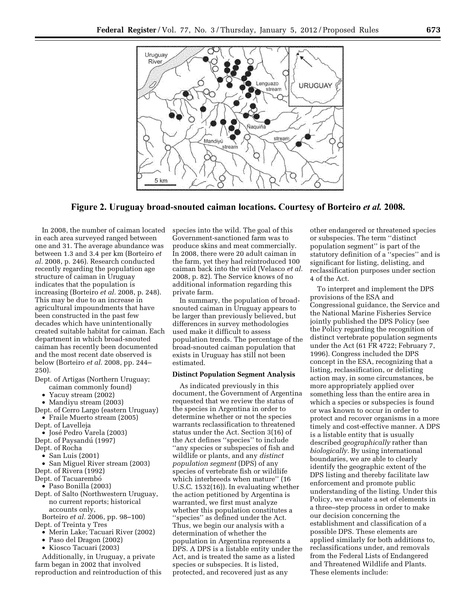

Figure 2. Uruguay broad-snouted caiman locations. Courtesy of Borteiro *et al.* 2008.

In 2008, the number of caiman located in each area surveyed ranged between one and 31. The average abundance was between 1.3 and 3.4 per km (Borteiro *et al.* 2008, p. 246). Research conducted recently regarding the population age structure of caiman in Uruguay indicates that the population is increasing (Borteiro *et al.* 2008, p. 248). This may be due to an increase in agricultural impoundments that have been constructed in the past few decades which have unintentionally created suitable habitat for caiman. Each department in which broad-snouted caiman has recently been documented and the most recent date observed is below (Borteiro *et al.* 2008, pp. 244– 250).

- Dept. of Artigas (Northern Uruguay;
	- caiman commonly found)
	- Yacuy stream (2002)
	- Mandiyu stream (2003)
- Dept. of Cerro Largo (eastern Uruguay) • Fraile Muerto stream (2005)
- Dept. of Lavelleja
- José Pedro Varela (2003)
- Dept. of Paysandú (1997)
- Dept. of Rocha
- San Luis (2001)
- San Miguel River stream (2003) Dept. of Rivera (1992)
- Dept. of Tacuarembó
- Paso Bonilla (2003)
- Dept. of Salto (Northwestern Uruguay, no current reports; historical accounts only,
- Borteiro *et al.* 2006, pp. 98–100) Dept. of Treinta y Tres
- Merin Lake; Tacuari River (2002)
- Paso del Dragon (2002)
- Kiosco Tacuari (2003)

Additionally, in Uruguay, a private farm began in 2002 that involved reproduction and reintroduction of this species into the wild. The goal of this Government-sanctioned farm was to produce skins and meat commercially. In 2008, there were 20 adult caiman in the farm, yet they had reintroduced 100 caiman back into the wild (Velasco *et al.*  2008, p. 82). The Service knows of no additional information regarding this private farm.

In summary, the population of broadsnouted caiman in Uruguay appears to be larger than previously believed, but differences in survey methodologies used make it difficult to assess population trends. The percentage of the broad-snouted caiman population that exists in Uruguay has still not been estimated.

#### **Distinct Population Segment Analysis**

As indicated previously in this document, the Government of Argentina requested that we review the status of the species in Argentina in order to determine whether or not the species warrants reclassification to threatened status under the Act. Section 3(16) of the Act defines ''species'' to include ''any species or subspecies of fish and wildlife or plants, and any *distinct population segment* (DPS) of any species of vertebrate fish or wildlife which interbreeds when mature'' (16 U.S.C. 1532(16)). In evaluating whether the action petitioned by Argentina is warranted, we first must analyze whether this population constitutes a ''species'' as defined under the Act. Thus, we begin our analysis with a determination of whether the population in Argentina represents a DPS. A DPS is a listable entity under the Act, and is treated the same as a listed species or subspecies. It is listed, protected, and recovered just as any

other endangered or threatened species or subspecies. The term ''distinct population segment'' is part of the statutory definition of a ''species'' and is significant for listing, delisting, and reclassification purposes under section 4 of the Act.

To interpret and implement the DPS provisions of the ESA and Congressional guidance, the Service and the National Marine Fisheries Service jointly published the DPS Policy (see the Policy regarding the recognition of distinct vertebrate population segments under the Act (61 FR 4722; February 7, 1996). Congress included the DPS concept in the ESA, recognizing that a listing, reclassification, or delisting action may, in some circumstances, be more appropriately applied over something less than the entire area in which a species or subspecies is found or was known to occur in order to protect and recover organisms in a more timely and cost-effective manner. A DPS is a listable entity that is usually described *geographically* rather than *biologically.* By using international boundaries, we are able to clearly identify the geographic extent of the DPS listing and thereby facilitate law enforcement and promote public understanding of the listing. Under this Policy, we evaluate a set of elements in a three–step process in order to make our decision concerning the establishment and classification of a possible DPS. These elements are applied similarly for both additions to, reclassifications under, and removals from the Federal Lists of Endangered and Threatened Wildlife and Plants. These elements include: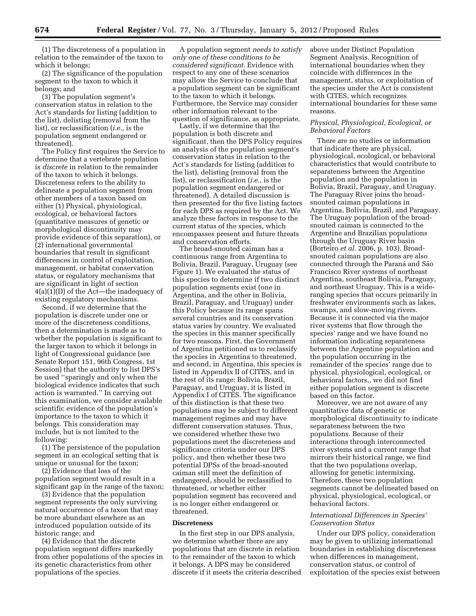(1) The discreteness of a population in relation to the remainder of the taxon to which it belongs;

(2) The significance of the population segment to the taxon to which it belongs; and

(3) The population segment's conservation status in relation to the Act's standards for listing (addition to the list), delisting (removal from the list), or reclassification (*i.e.,* is the population segment endangered or threatened).

The Policy first requires the Service to determine that a vertebrate population is *discrete* in relation to the remainder of the taxon to which it belongs. Discreteness refers to the ability to delineate a population segment from other members of a taxon based on either (1) Physical, physiological, ecological, or behavioral factors (quantitative measures of genetic or morphological discontinuity may provide evidence of this separation), or (2) international governmental boundaries that result in significant differences in control of exploitation, management, or habitat conservation status, or regulatory mechanisms that are significant in light of section 4(a)(1)(D) of the Act—the inadequacy of existing regulatory mechanisms.

Second, if we determine that the population is discrete under one or more of the discreteness conditions, then a determination is made as to whether the population is significant to the larger taxon to which it belongs in light of Congressional guidance (see Senate Report 151, 96th Congress, 1st Session) that the authority to list DPS's be used ''sparingly and only when the biological evidence indicates that such action is warranted.'' In carrying out this examination, we consider available scientific evidence of the population's importance to the taxon to which it belongs. This consideration may include, but is not limited to the following:

(1) The persistence of the population segment in an ecological setting that is unique or unusual for the taxon;

(2) Evidence that loss of the population segment would result in a significant gap in the range of the taxon;

(3) Evidence that the population segment represents the only surviving natural occurrence of a taxon that may be more abundant elsewhere as an introduced population outside of its historic range; and

(4) Evidence that the discrete population segment differs markedly from other populations of the species in its genetic characteristics from other populations of the species.

A population segment *needs to satisfy only one of these conditions to be considered significant.* Evidence with respect to any one of these scenarios may allow the Service to conclude that a population segment can be significant to the taxon to which it belongs. Furthermore, the Service may consider other information relevant to the question of significance, as appropriate.

Lastly, if we determine that the population is both discrete and significant, then the DPS Policy requires an analysis of the population segment's conservation status in relation to the Act's standards for listing (addition to the list), delisting (removal from the list), or reclassification (*i.e.,* is the population segment endangered or threatened). A detailed discussion is then presented for the five listing factors for each DPS as required by the Act. We analyze these factors in response to the current status of the species, which encompasses present and future threats and conservation efforts.

The broad-snouted caiman has a continuous range from Argentina to Bolivia, Brazil, Paraguay, Uruguay (see Figure 1). We evaluated the status of this species to determine if two distinct population segments exist (one in Argentina, and the other in Bolivia, Brazil, Paraguay, and Uruguay) under this Policy because its range spans several countries and its conservation status varies by country. We evaluated the species in this manner specifically for two reasons. First, the Government of Argentina petitioned us to reclassify the species in Argentina to threatened, and second, in Argentina, this species is listed in Appendix II of CITES, and in the rest of its range: Bolivia, Brazil, Paraguay, and Uruguay, it is listed in Appendix I of CITES. The significance of this distinction is that these two populations may be subject to different management regimes and may have different conservation statuses. Thus, we considered whether these two populations meet the discreteness and significance criteria under our DPS policy, and then whether these two potential DPSs of the broad-snouted caiman still meet the definition of endangered, should be reclassified to threatened, or whether either population segment has recovered and is no longer either endangered or threatened.

#### **Discreteness**

In the first step in our DPS analysis, we determine whether there are any populations that are discrete in relation to the remainder of the taxon to which it belongs. A DPS may be considered discrete if it meets the criteria described above under Distinct Population Segment Analysis. Recognition of international boundaries when they coincide with differences in the management, status, or exploitation of the species under the Act is consistent with CITES, which recognizes international boundaries for these same reasons.

#### *Physical, Physiological, Ecological, or Behavioral Factors*

There are no studies or information that indicate there are physical, physiological, ecological, or behavioral characteristics that would contribute to separateness between the Argentine population and the population in Bolivia, Brazil, Paraguay, and Uruguay. The Paraguay River joins the broadsnouted caiman populations in Argentina, Bolivia, Brazil, and Paraguay. The Uruguay population of the broadsnouted caiman is connected to the Argentine and Brazilian populations through the Uruguay River basin (Borteiro *et al.* 2006, p. 103). Broadsnouted caiman populations are also connected through the Paraná and São Francisco River systems of northeast Argentina, southeast Bolivia, Paraguay, and northeast Uruguay. This is a wideranging species that occurs primarily in freshwater environments such as lakes, swamps, and slow-moving rivers. Because it is connected via the major river systems that flow through the species' range and we have found no information indicating separateness between the Argentine population and the population occurring in the remainder of the species' range due to physical, physiological, ecological, or behavioral factors,, we did not find either population segment is discrete based on this factor.

Moreover, we are not aware of any quantitative data of genetic or morphological discontinuity to indicate separateness between the two populations. Because of their interactions through interconnected river systems and a current range that mirrors their historical range, we find that the two populations overlap, allowing for genetic intermixing. Therefore, these two population segments cannot be delineated based on physical, physiological, ecological, or behavioral factors.

#### *International Differences in Species' Conservation Status*

Under our DPS policy, consideration may be given to utilizing international boundaries in establishing discreteness when differences in management, conservation status, or control of exploitation of the species exist between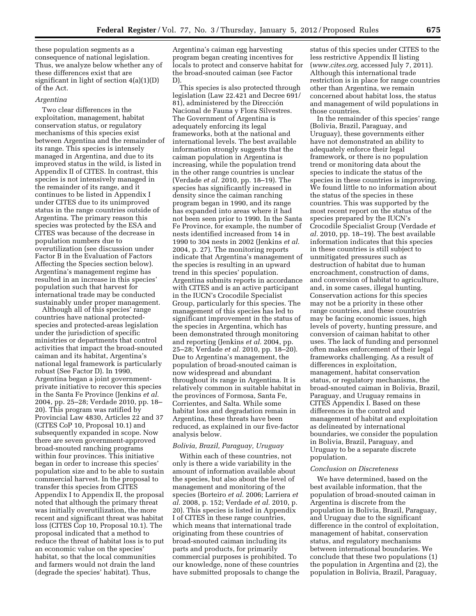these population segments as a consequence of national legislation. Thus, we analyze below whether any of these differences exist that are significant in light of section 4(a)(1)(D) of the Act.

#### *Argentina*

Two clear differences in the exploitation, management, habitat conservation status, or regulatory mechanisms of this species exist between Argentina and the remainder of its range. This species is intensely managed in Argentina, and due to its improved status in the wild, is listed in Appendix II of CITES. In contrast, this species is not intensively managed in the remainder of its range, and it continues to be listed in Appendix I under CITES due to its unimproved status in the range countries outside of Argentina. The primary reason this species was protected by the ESA and CITES was because of the decrease in population numbers due to overutilization (see discussion under Factor B in the Evaluation of Factors Affecting the Species section below). Argentina's management regime has resulted in an increase in this species' population such that harvest for international trade may be conducted sustainably under proper management.

Although all of this species' range countries have national protectedspecies and protected-areas legislation under the jurisdiction of specific ministries or departments that control activities that impact the broad-snouted caiman and its habitat, Argentina's national legal framework is particularly robust (See Factor D). In 1990, Argentina began a joint governmentprivate initiative to recover this species in the Santa Fe Province (Jenkins *et al.*  2004, pp. 25–28; Verdade 2010, pp. 18– 20). This program was ratified by Provincial Law 4830, Articles 22 and 37 (CITES CoP 10, Proposal 10.1) and subsequently expanded in scope. Now there are seven government-approved broad-snouted ranching programs within four provinces. This initiative began in order to increase this species' population size and to be able to sustain commercial harvest. In the proposal to transfer this species from CITES Appendix I to Appendix II, the proposal noted that although the primary threat was initially overutilization, the more recent and significant threat was habitat loss (CITES Cop 10, Proposal 10.1). The proposal indicated that a method to reduce the threat of habitat loss is to put an economic value on the species' habitat, so that the local communities and farmers would not drain the land (degrade the species' habitat). Thus,

Argentina's caiman egg harvesting program began creating incentives for locals to protect and conserve habitat for the broad-snouted caiman (see Factor D).

This species is also protected through legislation (Law 22.421 and Decree 691/ 81), administered by the Dirección Nacional de Fauna y Flora Silvestres. The Government of Argentina is adequately enforcing its legal frameworks, both at the national and international levels. The best available information strongly suggests that the caiman population in Argentina is increasing, while the population trend in the other range countries is unclear (Verdade *et al.* 2010, pp. 18–19). The species has significantly increased in density since the caiman ranching program began in 1990, and its range has expanded into areas where it had not been seen prior to 1990. In the Santa Fe Province, for example, the number of nests identified increased from 14 in 1990 to 304 nests in 2002 (Jenkins *et al.*  2004, p. 27). The monitoring reports indicate that Argentina's management of the species is resulting in an upward trend in this species' population. Argentina submits reports in accordance with CITES and is an active participant in the IUCN's Crocodile Specialist Group, particularly for this species. The management of this species has led to significant improvement in the status of the species in Argentina, which has been demonstrated through monitoring and reporting (Jenkins *et al.* 2004, pp. 25–28; Verdade *et al.* 2010, pp. 18–20). Due to Argentina's management, the population of broad-snouted caiman is now widespread and abundant throughout its range in Argentina. It is relatively common in suitable habitat in the provinces of Formosa, Santa Fe, Corrientes, and Salta. While some habitat loss and degradation remain in Argentina, these threats have been reduced, as explained in our five-factor analysis below.

#### *Bolivia, Brazil, Paraguay, Uruguay*

Within each of these countries, not only is there a wide variability in the amount of information available about the species, but also about the level of management and monitoring of the species (Borteiro *et al.* 2006; Larriera *et al.* 2008, p. 152; Verdade *et al.* 2010, p. 20). This species is listed in Appendix I of CITES in these range countries, which means that international trade originating from these countries of broad-snouted caiman including its parts and products, for primarily commercial purposes is prohibited. To our knowledge, none of these countries have submitted proposals to change the

status of this species under CITES to the less restrictive Appendix II listing (*[www.cites.org,](http://www.cites.org)* accessed July 7, 2011). Although this international trade restriction is in place for range countries other than Argentina, we remain concerned about habitat loss, the status and management of wild populations in those countries.

In the remainder of this species' range (Bolivia, Brazil, Paraguay, and Uruguay), these governments either have not demonstrated an ability to adequately enforce their legal framework, or there is no population trend or monitoring data about the species to indicate the status of the species in these countries is improving. We found little to no information about the status of the species in these countries. This was supported by the most recent report on the status of the species prepared by the IUCN's Crocodile Specialist Group (Verdade *et al.* 2010, pp. 18–19). The best available information indicates that this species in these countries is still subject to unmitigated pressures such as destruction of habitat due to human encroachment, construction of dams, and conversion of habitat to agriculture, and, in some cases, illegal hunting. Conservation actions for this species may not be a priority in these other range countries, and these countries may be facing economic issues, high levels of poverty, hunting pressure, and conversion of caiman habitat to other uses. The lack of funding and personnel often makes enforcement of their legal frameworks challenging. As a result of differences in exploitation, management, habitat conservation status, or regulatory mechanisms, the broad-snouted caiman in Bolivia, Brazil, Paraguay, and Uruguay remains in CITES Appendix I. Based on these differences in the control and management of habitat and exploitation as delineated by international boundaries, we consider the population in Bolivia, Brazil, Paraguay, and Uruguay to be a separate discrete population.

#### *Conclusion on Discreteness*

We have determined, based on the best available information, that the population of broad-snouted caiman in Argentina is discrete from the population in Bolivia, Brazil, Paraguay, and Uruguay due to the significant difference in the control of exploitation, management of habitat, conservation status, and regulatory mechanisms between international boundaries. We conclude that these two populations (1) the population in Argentina and (2), the population in Bolivia, Brazil, Paraguay,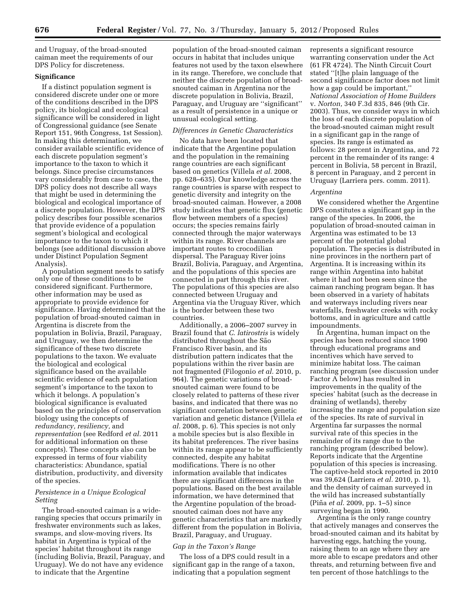and Uruguay, of the broad-snouted caiman meet the requirements of our DPS Policy for discreteness.

#### **Significance**

If a distinct population segment is considered discrete under one or more of the conditions described in the DPS policy, its biological and ecological significance will be considered in light of Congressional guidance (see Senate Report 151, 96th Congress, 1st Session). In making this determination, we consider available scientific evidence of each discrete population segment's importance to the taxon to which it belongs. Since precise circumstances vary considerably from case to case, the DPS policy does not describe all ways that might be used in determining the biological and ecological importance of a discrete population. However, the DPS policy describes four possible scenarios that provide evidence of a population segment's biological and ecological importance to the taxon to which it belongs (see additional discussion above under Distinct Population Segment Analysis).

A population segment needs to satisfy only one of these conditions to be considered significant. Furthermore, other information may be used as appropriate to provide evidence for significance. Having determined that the population of broad-snouted caiman in Argentina is discrete from the population in Bolivia, Brazil, Paraguay, and Uruguay, we then determine the significance of these two discrete populations to the taxon. We evaluate the biological and ecological significance based on the available scientific evidence of each population segment's importance to the taxon to which it belongs. A population's biological significance is evaluated based on the principles of conservation biology using the concepts of *redundancy, resiliency,* and *representation* (see Redford *et al.* 2011 for additional information on these concepts). These concepts also can be expressed in terms of four viability characteristics: Abundance, spatial distribution, productivity, and diversity of the species.

#### *Persistence in a Unique Ecological Setting*

The broad-snouted caiman is a wideranging species that occurs primarily in freshwater environments such as lakes, swamps, and slow-moving rivers. Its habitat in Argentina is typical of the species' habitat throughout its range (including Bolivia, Brazil, Paraguay, and Uruguay). We do not have any evidence to indicate that the Argentine

population of the broad-snouted caiman occurs in habitat that includes unique features not used by the taxon elsewhere in its range. Therefore, we conclude that neither the discrete population of broadsnouted caiman in Argentina nor the discrete population in Bolivia, Brazil, Paraguay, and Uruguay are ''significant'' as a result of persistence in a unique or unusual ecological setting.

#### *Differences in Genetic Characteristics*

No data have been located that indicate that the Argentine population and the population in the remaining range countries are each significant based on genetics (Villela *et al.* 2008, pp. 628–635). Our knowledge across the range countries is sparse with respect to genetic diversity and integrity on the broad-snouted caiman. However, a 2008 study indicates that genetic flux (genetic flow between members of a species) occurs; the species remains fairly connected through the major waterways within its range. River channels are important routes to crocodilian dispersal. The Paraguay River joins Brazil, Bolivia, Paraguay, and Argentina, and the populations of this species are connected in part through this river. The populations of this species are also connected between Uruguay and Argentina via the Uruguay River, which is the border between these two countries.

Additionally, a 2006–2007 survey in Brazil found that *C. latirostris* is widely distributed throughout the São Francisco River basin, and its distribution pattern indicates that the populations within the river basin are not fragmented (Filogonio *et al.* 2010, p. 964). The genetic variations of broadsnouted caiman were found to be closely related to patterns of these river basins, and indicated that there was no significant correlation between genetic variation and genetic distance (Villela *et al.* 2008, p. 6). This species is not only a mobile species but is also flexible in its habitat preferences. The river basins within its range appear to be sufficiently connected, despite any habitat modifications. There is no other information available that indicates there are significant differences in the populations. Based on the best available information, we have determined that the Argentine population of the broadsnouted caiman does not have any genetic characteristics that are markedly different from the population in Bolivia, Brazil, Paraguay, and Uruguay.

#### *Gap in the Taxon's Range*

The loss of a DPS could result in a significant gap in the range of a taxon, indicating that a population segment

represents a significant resource warranting conservation under the Act (61 FR 4724). The Ninth Circuit Court stated ''[t]he plain language of the second significance factor does not limit how a gap could be important,'' *National Association of Home Builders*  v. *Norton,* 340 F.3d 835, 846 (9th Cir. 2003). Thus, we consider ways in which the loss of each discrete population of the broad-snouted caiman might result in a significant gap in the range of species. Its range is estimated as follows: 28 percent in Argentina, and 72 percent in the remainder of its range: 4 percent in Bolivia, 58 percent in Brazil, 8 percent in Paraguay, and 2 percent in Uruguay (Larriera pers. comm. 2011).

#### *Argentina*

We considered whether the Argentine DPS constitutes a significant gap in the range of the species. In 2006, the population of broad-snouted caiman in Argentina was estimated to be 13 percent of the potential global population. The species is distributed in nine provinces in the northern part of Argentina. It is increasing within its range within Argentina into habitat where it had not been seen since the caiman ranching program began. It has been observed in a variety of habitats and waterways including rivers near waterfalls, freshwater creeks with rocky bottoms, and in agriculture and cattle impoundments.

In Argentina, human impact on the species has been reduced since 1990 through educational programs and incentives which have served to minimize habitat loss. The caiman ranching program (see discussion under Factor A below) has resulted in improvements in the quality of the species' habitat (such as the decrease in draining of wetlands), thereby increasing the range and population size of the species. Its rate of survival in Argentina far surpasses the normal survival rate of this species in the remainder of its range due to the ranching program (described below). Reports indicate that the Argentine population of this species is increasing. The captive-held stock reported in 2010 was 39,624 (Larriera *et al.* 2010, p. 1), and the density of caiman surveyed in the wild has increased substantially (Pin˜ a *et al.* 2009, pp. 1–5) since surveying began in 1990.

Argentina is the only range country that actively manages and conserves the broad-snouted caiman and its habitat by harvesting eggs, hatching the young, raising them to an age where they are more able to escape predators and other threats, and returning between five and ten percent of those hatchlings to the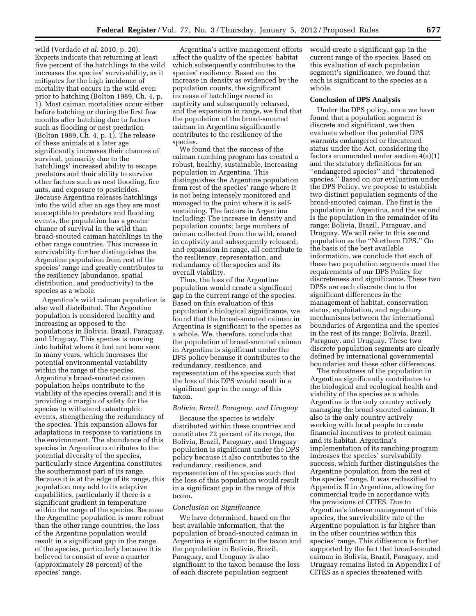wild (Verdade *et al.* 2010, p. 20). Experts indicate that returning at least five percent of the hatchlings to the wild increases the species' survivability, as it mitigates for the high incidence of mortality that occurs in the wild even prior to hatching (Bolton 1989, Ch. 4, p. 1). Most caiman mortalities occur either before hatching or during the first few months after hatching due to factors such as flooding or nest predation (Bolton 1989, Ch. 4, p. 1). The release of these animals at a later age significantly increases their chances of survival, primarily due to the hatchlings' increased ability to escape predators and their ability to survive other factors such as nest flooding, fire ants, and exposure to pesticides. Because Argentina releases hatchlings into the wild after an age they are most susceptible to predators and flooding events, the population has a greater chance of survival in the wild than broad-snouted caiman hatchlings in the other range countries. This increase in survivability further distinguishes the Argentine population from rest of the species' range and greatly contributes to the resiliency (abundance, spatial distribution, and productivity) to the species as a whole.

Argentina's wild caiman population is also well distributed. The Argentine population is considered healthy and increasing as opposed to the populations in Bolivia, Brazil, Paraguay, and Uruguay. This species is moving into habitat where it had not been seen in many years, which increases the potential environmental variability within the range of the species. Argentina's broad-snouted caiman population helps contribute to the viability of the species overall; and it is providing a margin of safety for the species to withstand catastrophic events, strengthening the redundancy of the species. This expansion allows for adaptations in response to variations in the environment. The abundance of this species in Argentina contributes to the potential diversity of the species, particularly since Argentina constitutes the southernmost part of its range. Because it is at the edge of its range, this population may add to its adaptive capabilities, particularly if there is a significant gradient in temperature within the range of the species. Because the Argentine population is more robust than the other range countries, the loss of the Argentine population would result in a significant gap in the range of the species, particularly because it is believed to consist of over a quarter (approximately 28 percent) of the species' range.

Argentina's active management efforts affect the quality of the species' habitat which subsequently contributes to the species' resiliency. Based on the increase in density as evidenced by the population counts, the significant increase of hatchlings reared in captivity and subsequently released, and the expansion in range, we find that the population of the broad-snouted caiman in Argentina significantly contributes to the resiliency of the species.

We found that the success of the caiman ranching program has created a robust, healthy, sustainable, increasing population in Argentina. This distinguishes the Argentine population from rest of the species' range where it is not being intensely monitored and managed to the point where it is selfsustaining. The factors in Argentina including: The increase in density and population counts; large numbers of caiman collected from the wild, reared in captivity and subsequently released; and expansion in range, all contribute to the resiliency, representation, and redundancy of the species and its overall viability.

Thus, the loss of the Argentine population would create a significant gap in the current range of the species. Based on this evaluation of this population's biological significance, we found that the broad-snouted caiman in Argentina is significant to the species as a whole. We, therefore, conclude that the population of broad-snouted caiman in Argentina is significant under the DPS policy because it contributes to the redundancy, resilience, and representation of the species such that the loss of this DPS would result in a significant gap in the range of this taxon.

#### *Bolivia, Brazil, Paraguay, and Uruguay*

Because the species is widely distributed within these countries and constitutes 72 percent of its range, the Bolivia, Brazil, Paraguay, and Uruguay population is significant under the DPS policy because it also contributes to the redundancy, resilience, and representation of the species such that the loss of this population would result in a significant gap in the range of this taxon.

#### *Conclusion on Significance*

We have determined, based on the best available information, that the population of broad-snouted caiman in Argentina is significant to the taxon and the population in Bolivia, Brazil, Paraguay, and Uruguay is also significant to the taxon because the loss of each discrete population segment

would create a significant gap in the current range of the species. Based on this evaluation of each population segment's significance, we found that each is significant to the species as a whole.

#### **Conclusion of DPS Analysis**

Under the DPS policy, once we have found that a population segment is discrete and significant, we then evaluate whether the potential DPS warrants endangered or threatened status under the Act, considering the factors enumerated under section 4(a)(1) and the statutory definitions for an ''endangered species'' and ''threatened species.'' Based on our evaluation under the DPS Policy, we propose to establish two distinct population segments of the broad-snouted caiman. The first is the population in Argentina, and the second is the population in the remainder of its range: Bolivia, Brazil, Paraguay, and Uruguay. We will refer to this second population as the ''Northern DPS.'' On the basis of the best available information, we conclude that each of these two population segments meet the requirements of our DPS Policy for discreteness and significance. These two DPSs are each discrete due to the significant differences in the management of habitat, conservation status, exploitation, and regulatory mechanisms between the international boundaries of Argentina and the species in the rest of its range: Bolivia, Brazil, Paraguay, and Uruguay. These two discrete population segments are clearly defined by international governmental boundaries and these other differences.

The robustness of the population in Argentina significantly contributes to the biological and ecological health and viability of the species as a whole. Argentina is the only country actively managing the broad-snouted caiman. It also is the only country actively working with local people to create financial incentives to protect caiman and its habitat. Argentina's implementation of its ranching program increases the species' survivability success, which further distinguishes the Argentine population from the rest of the species' range. It was reclassified to Appendix II in Argentina, allowing for commercial trade in accordance with the provisions of CITES. Due to Argentina's intense management of this species, the survivability rate of the Argentine population is far higher than in the other countries within this species' range. This difference is further supported by the fact that broad-snouted caiman in Bolivia, Brazil, Paraguay, and Uruguay remains listed in Appendix I of CITES as a species threatened with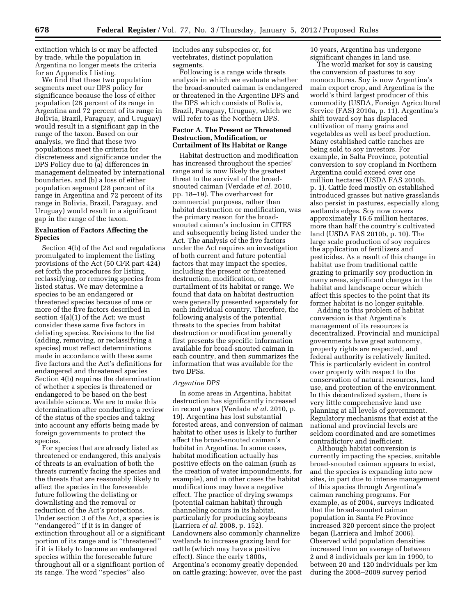extinction which is or may be affected by trade, while the population in Argentina no longer meets the criteria for an Appendix I listing.

We find that these two population segments meet our DPS policy for significance because the loss of either population (28 percent of its range in Argentina and 72 percent of its range in Bolivia, Brazil, Paraguay, and Uruguay) would result in a significant gap in the range of the taxon. Based on our analysis, we find that these two populations meet the criteria for discreteness and significance under the DPS Policy due to (a) differences in management delineated by international boundaries, and (b) a loss of either population segment (28 percent of its range in Argentina and 72 percent of its range in Bolivia, Brazil, Paraguay, and Uruguay) would result in a significant gap in the range of the taxon.

#### **Evaluation of Factors Affecting the Species**

Section 4(b) of the Act and regulations promulgated to implement the listing provisions of the Act (50 CFR part 424) set forth the procedures for listing, reclassifying, or removing species from listed status. We may determine a species to be an endangered or threatened species because of one or more of the five factors described in section 4(a)(1) of the Act; we must consider these same five factors in delisting species. Revisions to the list (adding, removing, or reclassifying a species) must reflect determinations made in accordance with these same five factors and the Act's definitions for endangered and threatened species Section 4(b) requires the determination of whether a species is threatened or endangered to be based on the best available science. We are to make this determination after conducting a review of the status of the species and taking into account any efforts being made by foreign governments to protect the species.

For species that are already listed as threatened or endangered, this analysis of threats is an evaluation of both the threats currently facing the species and the threats that are reasonably likely to affect the species in the foreseeable future following the delisting or downlisting and the removal or reduction of the Act's protections. Under section 3 of the Act, a species is ''endangered'' if it is in danger of extinction throughout all or a significant portion of its range and is ''threatened'' if it is likely to become an endangered species within the foreseeable future throughout all or a significant portion of its range. The word ''species'' also

includes any subspecies or, for vertebrates, distinct population segments.

Following is a range wide threats analysis in which we evaluate whether the broad-snouted caiman is endangered or threatened in the Argentine DPS and the DPS which consists of Bolivia, Brazil, Paraguay, Uruguay, which we will refer to as the Northern DPS.

#### **Factor A. The Present or Threatened Destruction, Modification, or Curtailment of Its Habitat or Range**

Habitat destruction and modification has increased throughout the species' range and is now likely the greatest threat to the survival of the broadsnouted caiman (Verdade *et al.* 2010, pp. 18–19). The overharvest for commercial purposes, rather than habitat destruction or modification, was the primary reason for the broadsnouted caiman's inclusion in CITES and subsequently being listed under the Act. The analysis of the five factors under the Act requires an investigation of both current and future potential factors that may impact the species, including the present or threatened destruction, modification, or curtailment of its habitat or range. We found that data on habitat destruction were generally presented separately for each individual country. Therefore, the following analysis of the potential threats to the species from habitat destruction or modification generally first presents the specific information available for broad-snouted caiman in each country, and then summarizes the information that was available for the two DPSs.

#### *Argentine DPS*

In some areas in Argentina, habitat destruction has significantly increased in recent years (Verdade *et al.* 2010, p. 19). Argentina has lost substantial forested areas, and conversion of caiman habitat to other uses is likely to further affect the broad-snouted caiman's habitat in Argentina. In some cases, habitat modification actually has positive effects on the caiman (such as the creation of water impoundments, for example), and in other cases the habitat modifications may have a negative effect. The practice of drying swamps (potential caiman habitat) through channeling occurs in its habitat, particularly for producing soybeans (Larriera *et al.* 2008, p. 152). Landowners also commonly channelize wetlands to increase grazing land for cattle (which may have a positive effect). Since the early 1800s, Argentina's economy greatly depended on cattle grazing; however, over the past

10 years, Argentina has undergone significant changes in land use.

The world market for soy is causing the conversion of pastures to soy monocultures. Soy is now Argentina's main export crop, and Argentina is the world's third largest producer of this commodity (USDA, Foreign Agricultural Service (FAS) 2010a, p. 11). Argentina's shift toward soy has displaced cultivation of many grains and vegetables as well as beef production. Many established cattle ranches are being sold to soy investors. For example, in Salta Province, potential conversion to soy cropland in Northern Argentina could exceed over one million hectares (USDA FAS 2010b, p. 1). Cattle feed mostly on established introduced grasses but native grasslands also persist in pastures, especially along wetlands edges. Soy now covers approximately 16.6 million hectares, more than half the country's cultivated land (USDA FAS 2010b, p. 10). The large scale production of soy requires the application of fertilizers and pesticides. As a result of this change in habitat use from traditional cattle grazing to primarily soy production in many areas, significant changes in the habitat and landscape occur which affect this species to the point that its former habitat is no longer suitable.

Adding to this problem of habitat conversion is that Argentina's management of its resources is decentralized. Provincial and municipal governments have great autonomy, property rights are respected, and federal authority is relatively limited. This is particularly evident in control over property with respect to the conservation of natural resources, land use, and protection of the environment. In this decentralized system, there is very little comprehensive land use planning at all levels of government. Regulatory mechanisms that exist at the national and provincial levels are seldom coordinated and are sometimes contradictory and inefficient.

Although habitat conversion is currently impacting the species, suitable broad-snouted caiman appears to exist, and the species is expanding into new sites, in part due to intense management of this species through Argentina's caiman ranching programs. For example, as of 2004, surveys indicated that the broad-snouted caiman population in Santa Fe Province increased 320 percent since the project began (Larriera and Imhof 2006). Observed wild population densities increased from an average of between 2 and 8 individuals per km in 1990, to between 20 and 120 individuals per km during the 2008–2009 survey period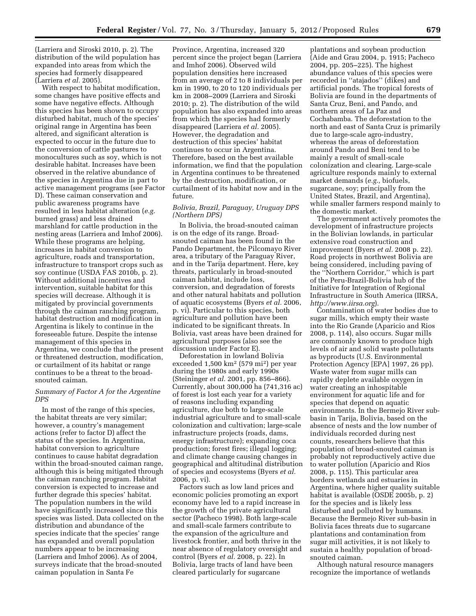(Larriera and Siroski 2010, p. 2). The distribution of the wild population has expanded into areas from which the species had formerly disappeared (Larriera *et al.* 2005).

With respect to habitat modification, some changes have positive effects and some have negative effects. Although this species has been shown to occupy disturbed habitat, much of the species' original range in Argentina has been altered, and significant alteration is expected to occur in the future due to the conversion of cattle pastures to monocultures such as soy, which is not desirable habitat. Increases have been observed in the relative abundance of the species in Argentina due in part to active management programs (see Factor D). These caiman conservation and public awareness programs have resulted in less habitat alteration (*e.g.*  burned grass) and less drained marshland for cattle production in the nesting areas (Larriera and Imhof 2006). While these programs are helping, increases in habitat conversion to agriculture, roads and transportation, infrastructure to transport crops such as soy continue (USDA FAS 2010b, p. 2). Without additional incentives and intervention, suitable habitat for this species will decrease. Although it is mitigated by provincial governments through the caiman ranching program, habitat destruction and modification in Argentina is likely to continue in the foreseeable future. Despite the intense management of this species in Argentina, we conclude that the present or threatened destruction, modification, or curtailment of its habitat or range continues to be a threat to the broadsnouted caiman.

#### *Summary of Factor A for the Argentine DPS*

In most of the range of this species, the habitat threats are very similar; however, a country's management actions (refer to factor D) affect the status of the species. In Argentina, habitat conversion to agriculture continues to cause habitat degradation within the broad-snouted caiman range, although this is being mitigated through the caiman ranching program. Habitat conversion is expected to increase and further degrade this species' habitat. The population numbers in the wild have significantly increased since this species was listed. Data collected on the distribution and abundance of the species indicate that the species' range has expanded and overall population numbers appear to be increasing (Larriera and Imhof 2006). As of 2004, surveys indicate that the broad-snouted caiman population in Santa Fe

Province, Argentina, increased 320 percent since the project began (Larriera and Imhof 2006). Observed wild population densities here increased from an average of 2 to 8 individuals per km in 1990, to 20 to 120 individuals per km in 2008–2009 (Larriera and Siroski 2010; p. 2). The distribution of the wild population has also expanded into areas from which the species had formerly disappeared (Larriera *et al.* 2005). However, the degradation and destruction of this species' habitat continues to occur in Argentina. Therefore, based on the best available information, we find that the population in Argentina continues to be threatened by the destruction, modification, or curtailment of its habitat now and in the future.

#### *Bolivia, Brazil, Paraguay, Uruguay DPS (Northern DPS)*

In Bolivia, the broad-snouted caiman is on the edge of its range. Broadsnouted caiman has been found in the Pando Department, the Pilcomayo River area, a tributary of the Paraguay River, and in the Tarija department. Here, key threats, particularly in broad-snouted caiman habitat, include loss, conversion, and degradation of forests and other natural habitats and pollution of aquatic ecosystems (Byers *et al.* 2006, p. vi). Particular to this species, both agriculture and pollution have been indicated to be significant threats. In Bolivia, vast areas have been drained for agricultural purposes (also see the discussion under Factor E).

Deforestation in lowland Bolivia exceeded 1,500 km2 (579 mi2) per year during the 1980s and early 1990s (Steininger *et al.* 2001, pp. 856–866). Currently, about 300,000 ha (741,316 ac) of forest is lost each year for a variety of reasons including expanding agriculture, due both to large-scale industrial agriculture and to small-scale colonization and cultivation; large-scale infrastructure projects (roads, dams, energy infrastructure); expanding coca production; forest fires; illegal logging; and climate change causing changes in geographical and altitudinal distribution of species and ecosystems (Byers *et al.*  2006, p. vi).

Factors such as low land prices and economic policies promoting an export economy have led to a rapid increase in the growth of the private agricultural sector (Pacheco 1998). Both large-scale and small-scale farmers contribute to the expansion of the agriculture and livestock frontier, and both thrive in the near absence of regulatory oversight and control (Byers *et al.* 2008, p. 22). In Bolivia, large tracts of land have been cleared particularly for sugarcane

plantations and soybean production (Aide and Grau 2004, p. 1915; Pacheco 2004, pp. 205–225). The highest abundance values of this species were recorded in ''atajados'' (dikes) and artificial ponds. The tropical forests of Bolivia are found in the departments of Santa Cruz, Beni, and Pando, and northern areas of La Paz and Cochabamba. The deforestation to the north and east of Santa Cruz is primarily due to large-scale agro-industry, whereas the areas of deforestation around Pando and Beni tend to be mainly a result of small-scale colonization and clearing. Large-scale agriculture responds mainly to external market demands (*e.g.,* biofuels, sugarcane, soy; principally from the United States, Brazil, and Argentina), while smaller farmers respond mainly to the domestic market.

The government actively promotes the development of infrastructure projects in the Bolivian lowlands, in particular extensive road construction and improvement (Byers *et al.* 2008 p. 22). Road projects in northwest Bolivia are being considered, including paving of the ''Northern Corridor,'' which is part of the Peru-Brazil-Bolivia hub of the Initiative for Integration of Regional Infrastructure in South America (IIRSA, *<http://www.iirsa.org>*).

Contamination of water bodies due to sugar mills, which empty their waste into the Rio Grande (Aparicio and Rios 2008, p. 114), also occurs. Sugar mills are commonly known to produce high levels of air and solid waste pollutants as byproducts (U.S. Environmental Protection Agency [EPA] 1997, 26 pp). Waste water from sugar mills can rapidly deplete available oxygen in water creating an inhospitable environment for aquatic life and for species that depend on aquatic environments. In the Bermejo River subbasin in Tarija, Bolivia, based on the absence of nests and the low number of individuals recorded during nest counts, researchers believe that this population of broad-snouted caiman is probably not reproductively active due to water pollution (Aparicio and Rios 2008, p. 115). This particular area borders wetlands and estuaries in Argentina, where higher quality suitable habitat is available (OSDE 2005b, p. 2) for the species and is likely less disturbed and polluted by humans. Because the Bermejo River sub-basin in Bolivia faces threats due to sugarcane plantations and contamination from sugar mill activities, it is not likely to sustain a healthy population of broadsnouted caiman.

Although natural resource managers recognize the importance of wetlands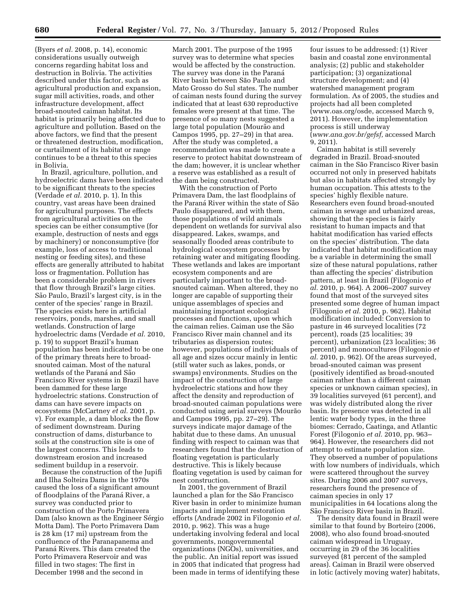(Byers *et al.* 2008, p. 14), economic considerations usually outweigh concerns regarding habitat loss and destruction in Bolivia. The activities described under this factor, such as agricultural production and expansion, sugar mill activities, roads, and other infrastructure development, affect broad-snouted caiman habitat. Its habitat is primarily being affected due to agriculture and pollution. Based on the above factors, we find that the present or threatened destruction, modification, or curtailment of its habitat or range continues to be a threat to this species in Bolivia.

In Brazil, agriculture, pollution, and hydroelectric dams have been indicated to be significant threats to the species (Verdade *et al.* 2010, p. 1). In this country, vast areas have been drained for agricultural purposes. The effects from agricultural activities on the species can be either consumptive (for example, destruction of nests and eggs by machinery) or nonconsumptive (for example, loss of access to traditional nesting or feeding sites), and these effects are generally attributed to habitat loss or fragmentation. Pollution has been a considerable problem in rivers that flow through Brazil's large cities. São Paulo, Brazil's largest city, is in the center of the species' range in Brazil. The species exists here in artificial reservoirs, ponds, marshes, and small wetlands. Construction of large hydroelectric dams (Verdade *et al.* 2010, p. 19) to support Brazil's human population has been indicated to be one of the primary threats here to broadsnouted caiman. Most of the natural wetlands of the Paraná and São Francisco River systems in Brazil have been dammed for these large hydroelectric stations. Construction of dams can have severe impacts on ecosystems (McCartney *et al.* 2001, p. v). For example, a dam blocks the flow of sediment downstream. During construction of dams, disturbance to soils at the construction site is one of the largest concerns. This leads to downstream erosion and increased sediment buildup in a reservoir.

Because the construction of the Jupifi and Ilha Solteira Dams in the 1970s caused the loss of a significant amount of floodplains of the Paraná River, a survey was conducted prior to construction of the Porto Primavera Dam (also known as the Engineer Sérgio Motta Dam). The Porto Primavera Dam is 28 km (17 mi) upstream from the confluence of the Paranapanema and Paraná Rivers. This dam created the Porto Primavera Reservoir and was filled in two stages: The first in December 1998 and the second in

March 2001. The purpose of the 1995 survey was to determine what species would be affected by the construction. The survey was done in the Parana<sup> $\alpha$ </sup> River basin between São Paulo and Mato Grosso do Sul states. The number of caiman nests found during the survey indicated that at least 630 reproductive females were present at that time. The presence of so many nests suggested a large total population (Mourão and Campos 1995, pp. 27–29) in that area. After the study was completed, a recommendation was made to create a reserve to protect habitat downstream of the dam; however, it is unclear whether a reserve was established as a result of the dam being constructed.

With the construction of Porto Primavera Dam, the last floodplains of the Paraná River within the state of São Paulo disappeared, and with them, those populations of wild animals dependent on wetlands for survival also disappeared. Lakes, swamps, and seasonally flooded areas contribute to hydrological ecosystem processes by retaining water and mitigating flooding. These wetlands and lakes are important ecosystem components and are particularly important to the broadsnouted caiman. When altered, they no longer are capable of supporting their unique assemblages of species and maintaining important ecological processes and functions, upon which the caiman relies. Caiman use the São Francisco River main channel and its tributaries as dispersion routes; however, populations of individuals of all age and sizes occur mainly in lentic (still water such as lakes, ponds, or swamps) environments. Studies on the impact of the construction of large hydroelectric stations and how they affect the density and reproduction of broad-snouted caiman populations were conducted using aerial surveys (Mourão and Campos 1995, pp. 27–29). The surveys indicate major damage of the habitat due to these dams. An unusual finding with respect to caiman was that researchers found that the destruction of floating vegetation is particularly destructive. This is likely because floating vegetation is used by caiman for nest construction.

In 2001, the government of Brazil launched a plan for the São Francisco River basin in order to minimize human impacts and implement restoration efforts (Andrade 2002 in Filogonio *et al.*  2010, p. 962). This was a huge undertaking involving federal and local governments, nongovernmental organizations (NGOs), universities, and the public. An initial report was issued in 2005 that indicated that progress had been made in terms of identifying these

four issues to be addressed: (1) River basin and coastal zone environmental analysis; (2) public and stakeholder participation; (3) organizational structure development; and (4) watershed management program formulation. As of 2005, the studies and projects had all been completed (www.oas.org/osde, accessed March 9, 2011). However, the implementation process is still underway (*[www.ana.gov.br/gefsf,](http://www.ana.gov.br/gefsf)* accessed March 9, 2011).

Caiman habitat is still severely degraded in Brazil. Broad-snouted caiman in the São Francisco River basin occurred not only in preserved habitats but also in habitats affected strongly by human occupation. This attests to the species' highly flexible nature. Researchers even found broad-snouted caiman in sewage and urbanized areas, showing that the species is fairly resistant to human impacts and that habitat modification has varied effects on the species' distribution. The data indicated that habitat modification may be a variable in determining the small size of these natural populations, rather than affecting the species' distribution pattern, at least in Brazil (Filogonio *et al.* 2010, p. 964). A 2006–2007 survey found that most of the surveyed sites presented some degree of human impact (Filogonio *et al.* 2010, p. 962). Habitat modification included: Conversion to pasture in 46 surveyed localities (72 percent), roads (25 localities; 39 percent), urbanization (23 localities; 36 percent) and monocultures (Filogonio *et al.* 2010, p. 962). Of the areas surveyed, broad-snouted caiman was present (positively identified as broad-snouted caiman rather than a different caiman species or unknown caiman species), in 39 localities surveyed (61 percent), and was widely distributed along the river basin. Its presence was detected in all lentic water body types, in the three biomes: Cerrado, Caatinga, and Atlantic Forest (Filogonio *et al.* 2010, pp. 963– 964). However, the researchers did not attempt to estimate population size. They observed a number of populations with low numbers of individuals, which were scattered throughout the survey sites. During 2006 and 2007 surveys, researchers found the presence of caiman species in only 17 municipalities in 64 locations along the São Francisco River basin in Brazil.

The density data found in Brazil were similar to that found by Borteiro (2006, 2008), who also found broad-snouted caiman widespread in Uruguay, occurring in 29 of the 36 localities surveyed (81 percent of the sampled areas). Caiman in Brazil were observed in lotic (actively moving water) habitats,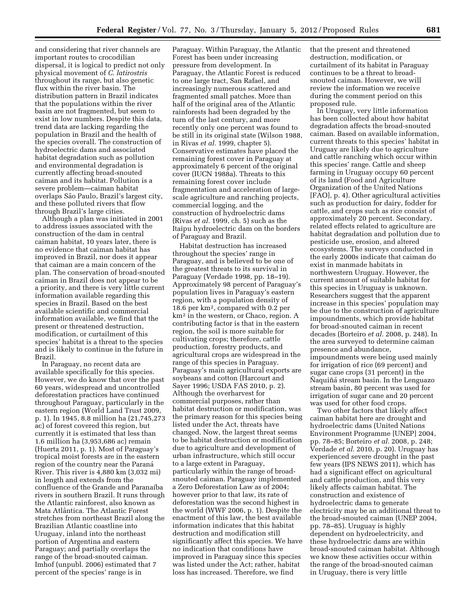and considering that river channels are important routes to crocodilian dispersal, it is logical to predict not only physical movement of *C. latirostris*  throughout its range, but also genetic flux within the river basin. The distribution pattern in Brazil indicates that the populations within the river basin are not fragmented, but seem to exist in low numbers. Despite this data, trend data are lacking regarding the population in Brazil and the health of the species overall. The construction of hydroelectric dams and associated habitat degradation such as pollution and environmental degradation is currently affecting broad-snouted caiman and its habitat. Pollution is a severe problem—caiman habitat overlaps São Paulo, Brazil's largest city, and these polluted rivers that flow through Brazil's large cities.

Although a plan was initiated in 2001 to address issues associated with the construction of the dam in central caiman habitat, 10 years later, there is no evidence that caiman habitat has improved in Brazil, nor does it appear that caiman are a main concern of the plan. The conservation of broad-snouted caiman in Brazil does not appear to be a priority, and there is very little current information available regarding this species in Brazil. Based on the best available scientific and commercial information available, we find that the present or threatened destruction, modification, or curtailment of this species' habitat is a threat to the species and is likely to continue in the future in Brazil.

In Paraguay, no recent data are available specifically for this species. However, we do know that over the past 60 years, widespread and uncontrolled deforestation practices have continued throughout Paraguay, particularly in the eastern region (World Land Trust 2009, p. 1). In 1945, 8.8 million ha (21,745,273 ac) of forest covered this region, but currently it is estimated that less than 1.6 million ha (3,953,686 ac) remain (Huerta 2011, p. 1). Most of Paraguay's tropical moist forests are in the eastern region of the country near the Paraná River. This river is 4,880 km (3,032 mi) in length and extends from the confluence of the Grande and Paranaı´ba rivers in southern Brazil. It runs through the Atlantic rainforest, also known as Mata Atlântica. The Atlantic Forest stretches from northeast Brazil along the Brazilian Atlantic coastline into Uruguay, inland into the northeast portion of Argentina and eastern Paraguay; and partially overlaps the range of the broad-snouted caiman. Imhof (unpubl. 2006) estimated that 7 percent of the species' range is in

Paraguay. Within Paraguay, the Atlantic Forest has been under increasing pressure from development. In Paraguay, the Atlantic Forest is reduced to one large tract, San Rafael, and increasingly numerous scattered and fragmented small patches. More than half of the original area of the Atlantic rainforests had been degraded by the turn of the last century, and more recently only one percent was found to be still in its original state (Wilson 1988, in Rivas *et al.* 1999, chapter 5). Conservative estimates have placed the remaining forest cover in Paraguay at approximately 6 percent of the original cover (IUCN 1988a). Threats to this remaining forest cover include fragmentation and acceleration of largescale agriculture and ranching projects, commercial logging, and the construction of hydroelectric dams (Rivas *et al.* 1999, ch. 5) such as the Itaipu hydroelectric dam on the borders of Paraguay and Brazil.

Habitat destruction has increased throughout the species' range in Paraguay, and is believed to be one of the greatest threats to its survival in Paraguay (Verdade 1998, pp. 18–19). Approximately 98 percent of Paraguay's population lives in Paraguay's eastern region, with a population density of 18.6 per km2, compared with 0.2 per km2 in the western, or Chaco, region. A contributing factor is that in the eastern region, the soil is more suitable for cultivating crops; therefore, cattle production, forestry products, and agricultural crops are widespread in the range of this species in Paraguay. Paraguay's main agricultural exports are soybeans and cotton (Harcourt and Sayer 1996; USDA FAS 2010, p. 2). Although the overharvest for commercial purposes, rather than habitat destruction or modification, was the primary reason for this species being listed under the Act, threats have changed. Now, the largest threat seems to be habitat destruction or modification due to agriculture and development of urban infrastructure, which still occur to a large extent in Paraguay, particularly within the range of broadsnouted caiman. Paraguay implemented a Zero Deforestation Law as of 2004; however prior to that law, its rate of deforestation was the second highest in the world (WWF 2006, p. 1). Despite the enactment of this law, the best available information indicates that this habitat destruction and modification still significantly affect this species. We have no indication that conditions have improved in Paraguay since this species was listed under the Act; rather, habitat loss has increased. Therefore, we find

that the present and threatened destruction, modification, or curtailment of its habitat in Paraguay continues to be a threat to broadsnouted caiman. However, we will review the information we receive during the comment period on this proposed rule.

In Uruguay, very little information has been collected about how habitat degradation affects the broad-snouted caiman. Based on available information, current threats to this species' habitat in Uruguay are likely due to agriculture and cattle ranching which occur within this species' range. Cattle and sheep farming in Uruguay occupy 60 percent of its land (Food and Agriculture Organization of the United Nations [FAO], p. 4). Other agricultural activities such as production for dairy, fodder for cattle, and crops such as rice consist of approximately 20 percent. Secondary, related effects related to agriculture are habitat degradation and pollution due to pesticide use, erosion, and altered ecosystems. The surveys conducted in the early 2000s indicate that caiman do exist in manmade habitats in northwestern Uruguay. However, the current amount of suitable habitat for this species in Uruguay is unknown. Researchers suggest that the apparent increase in this species' population may be due to the construction of agriculture impoundments, which provide habitat for broad-snouted caiman in recent decades (Borteiro *et al.* 2008, p. 248). In the area surveyed to determine caiman presence and abundance, impoundments were being used mainly for irrigation of rice (69 percent) and sugar cane crops (31 percent) in the Naquiñá stream basin. In the Lenguazo stream basin, 80 percent was used for irrigation of sugar cane and 20 percent was used for other food crops.

Two other factors that likely affect caiman habitat here are drought and hydroelectric dams (United Nations Environment Programme [UNEP] 2004, pp. 78–85; Borteiro *et al.* 2008, p. 248; Verdade *et al.* 2010, p. 20). Uruguay has experienced severe drought in the past few years (IPS NEWS 2011), which has had a significant effect on agricultural and cattle production, and this very likely affects caiman habitat. The construction and existence of hydroelectric dams to generate electricity may be an additional threat to the broad-snouted caiman (UNEP 2004, pp. 78–85). Uruguay is highly dependent on hydroelectricity, and these hydroelectric dams are within broad-snouted caiman habitat. Although we know these activities occur within the range of the broad-snouted caiman in Uruguay, there is very little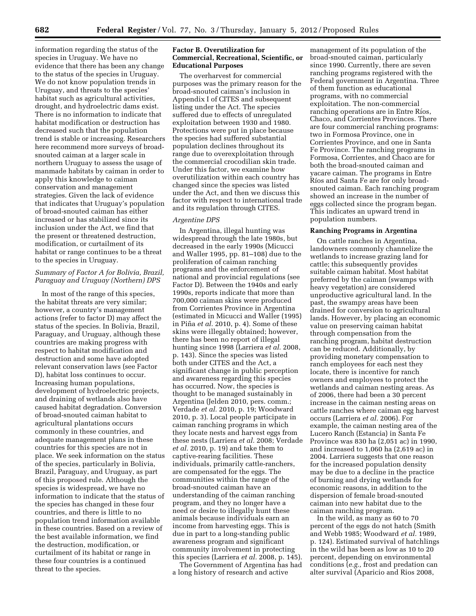information regarding the status of the species in Uruguay. We have no evidence that there has been any change to the status of the species in Uruguay. We do not know population trends in Uruguay, and threats to the species' habitat such as agricultural activities, drought, and hydroelectric dams exist. There is no information to indicate that habitat modification or destruction has decreased such that the population trend is stable or increasing. Researchers here recommend more surveys of broadsnouted caiman at a larger scale in northern Uruguay to assess the usage of manmade habitats by caiman in order to apply this knowledge to caiman conservation and management strategies. Given the lack of evidence that indicates that Uruguay's population of broad-snouted caiman has either increased or has stabilized since its inclusion under the Act, we find that the present or threatened destruction, modification, or curtailment of its habitat or range continues to be a threat to the species in Uruguay.

#### *Summary of Factor A for Bolivia, Brazil, Paraguay and Uruguay (Northern) DPS*

In most of the range of this species, the habitat threats are very similar; however, a country's management actions (refer to factor D) may affect the status of the species. In Bolivia, Brazil, Paraguay, and Uruguay, although these countries are making progress with respect to habitat modification and destruction and some have adopted relevant conservation laws (see Factor D), habitat loss continues to occur. Increasing human populations, development of hydroelectric projects, and draining of wetlands also have caused habitat degradation. Conversion of broad-snouted caiman habitat to agricultural plantations occurs commonly in these countries, and adequate management plans in these countries for this species are not in place. We seek information on the status of the species, particularly in Bolivia, Brazil, Paraguay, and Uruguay, as part of this proposed rule. Although the species is widespread, we have no information to indicate that the status of the species has changed in these four countries, and there is little to no population trend information available in these countries. Based on a review of the best available information, we find the destruction, modification, or curtailment of its habitat or range in these four countries is a continued threat to the species.

#### **Factor B. Overutilization for Commercial, Recreational, Scientific, or Educational Purposes**

The overharvest for commercial purposes was the primary reason for the broad-snouted caiman's inclusion in Appendix I of CITES and subsequent listing under the Act. The species suffered due to effects of unregulated exploitation between 1930 and 1980. Protections were put in place because the species had suffered substantial population declines throughout its range due to overexploitation through the commercial crocodilian skin trade. Under this factor, we examine how overutilization within each country has changed since the species was listed under the Act, and then we discuss this factor with respect to international trade and its regulation through CITES.

#### *Argentine DPS*

In Argentina, illegal hunting was widespread through the late 1980s, but decreased in the early 1990s (Micucci and Waller 1995, pp. 81–108) due to the proliferation of caiman ranching programs and the enforcement of national and provincial regulations (see Factor D). Between the 1940s and early 1990s, reports indicate that more than 700,000 caiman skins were produced from Corrientes Province in Argentina (estimated in Micucci and Waller (1995) in Piña *et al.* 2010, p. 4). Some of these skins were illegally obtained; however, there has been no report of illegal hunting since 1998 (Larriera *et al.* 2008, p. 143). Since the species was listed both under CITES and the Act, a significant change in public perception and awareness regarding this species has occurred. Now, the species is thought to be managed sustainably in Argentina (Jelden 2010, pers. comm.; Verdade *et al.* 2010, p. 19; Woodward 2010, p. 3). Local people participate in caiman ranching programs in which they locate nests and harvest eggs from these nests (Larriera *et al.* 2008; Verdade *et al.* 2010, p. 19) and take them to captive-rearing facilities. These individuals, primarily cattle-ranchers, are compensated for the eggs. The communities within the range of the broad-snouted caiman have an understanding of the caiman ranching program, and they no longer have a need or desire to illegally hunt these animals because individuals earn an income from harvesting eggs. This is due in part to a long-standing public awareness program and significant community involvement in protecting this species (Larriera *et al.* 2008, p. 145).

The Government of Argentina has had a long history of research and active

management of its population of the broad-snouted caiman, particularly since 1990. Currently, there are seven ranching programs registered with the Federal government in Argentina. Three of them function as educational programs, with no commercial exploitation. The non-commercial ranching operations are in Entre Ríos, Chaco, and Corrientes Provinces. There are four commercial ranching programs: two in Formosa Province, one in Corrientes Province, and one in Santa Fe Province. The ranching programs in Formosa, Corrientes, and Chaco are for both the broad-snouted caiman and yacare caiman. The programs in Entre Ríos and Santa Fe are for only broadsnouted caiman. Each ranching program showed an increase in the number of eggs collected since the program began. This indicates an upward trend in population numbers.

#### **Ranching Programs in Argentina**

On cattle ranches in Argentina, landowners commonly channelize the wetlands to increase grazing land for cattle; this subsequently provides suitable caiman habitat. Most habitat preferred by the caiman (swamps with heavy vegetation) are considered unproductive agricultural land. In the past, the swampy areas have been drained for conversion to agricultural lands. However, by placing an economic value on preserving caiman habitat through compensation from the ranching program, habitat destruction can be reduced. Additionally, by providing monetary compensation to ranch employees for each nest they locate, there is incentive for ranch owners and employees to protect the wetlands and caiman nesting areas. As of 2006, there had been a 30 percent increase in the caiman nesting areas on cattle ranches where caiman egg harvest occurs (Larriera *et al.* 2006). For example, the caiman nesting area of the Lucero Ranch (Estancia) in Santa Fe Province was 830 ha (2,051 ac) in 1990, and increased to 1,060 ha (2,619 ac) in 2004. Larriera suggests that one reason for the increased population density may be due to a decline in the practice of burning and drying wetlands for economic reasons, in addition to the dispersion of female broad-snouted caiman into new habitat due to the caiman ranching program.

In the wild, as many as 60 to 70 percent of the eggs do not hatch (Smith and Webb 1985; Woodward *et al.* 1989, p. 124). Estimated survival of hatchlings in the wild has been as low as 10 to 20 percent, depending on environmental conditions (*e.g.,* frost and predation can alter survival (Aparicio and Rios 2008,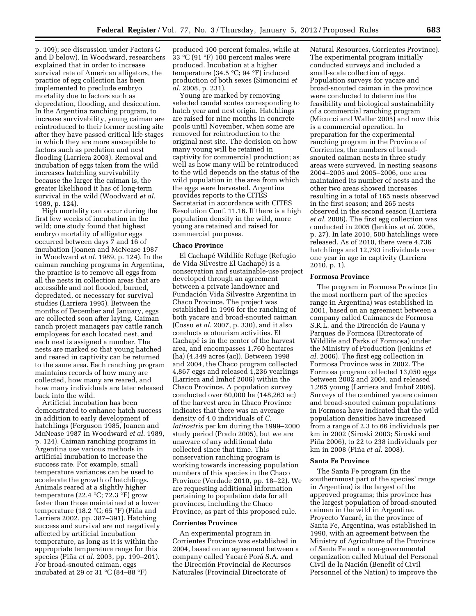p. 109); see discussion under Factors C and D below). In Woodward, researchers explained that in order to increase survival rate of American alligators, the practice of egg collection has been implemented to preclude embryo mortality due to factors such as depredation, flooding, and desiccation. In the Argentina ranching program, to increase survivability, young caiman are reintroduced to their former nesting site after they have passed critical life stages in which they are more susceptible to factors such as predation and nest flooding (Larriera 2003). Removal and incubation of eggs taken from the wild increases hatchling survivability because the larger the caiman is, the greater likelihood it has of long-term survival in the wild (Woodward *et al.*  1989, p. 124).

High mortality can occur during the first few weeks of incubation in the wild; one study found that highest embryo mortality of alligator eggs occurred between days 7 and 16 of incubation (Joanen and McNease 1987 in Woodward *et al.* 1989, p. 124). In the caiman ranching programs in Argentina, the practice is to remove all eggs from all the nests in collection areas that are accessible and not flooded, burned, depredated, or necessary for survival studies (Larriera 1995). Between the months of December and January, eggs are collected soon after laying. Caiman ranch project managers pay cattle ranch employees for each located nest, and each nest is assigned a number. The nests are marked so that young hatched and reared in captivity can be returned to the same area. Each ranching program maintains records of how many are collected, how many are reared, and how many individuals are later released back into the wild.

Artificial incubation has been demonstrated to enhance hatch success in addition to early development of hatchlings (Ferguson 1985, Joanen and McNease 1987 in Woodward *et al.* 1989, p. 124). Caiman ranching programs in Argentina use various methods in artificial incubation to increase the success rate. For example, small temperature variances can be used to accelerate the growth of hatchlings. Animals reared at a slightly higher temperature (22.4  $°C$ ; 72.3 °F) grow faster than those maintained at a lower temperature (18.2  $\degree$ C; 65  $\degree$ F) (Piña and Larriera 2002, pp. 387–391). Hatching success and survival are not negatively affected by artificial incubation temperature, as long as it is within the appropriate temperature range for this species (Piña *et al.* 2003, pp. 199–201). For broad-snouted caiman, eggs incubated at 29 or 31  $^{\circ}$ C (84–88  $^{\circ}$ F)

produced 100 percent females, while at 33 °C (91 °F) 100 percent males were produced. Incubation at a higher temperature (34.5 °C; 94 °F) induced production of both sexes (Simoncini *et al.* 2008, p. 231).

Young are marked by removing selected caudal scutes corresponding to hatch year and nest origin. Hatchlings are raised for nine months in concrete pools until November, when some are removed for reintroduction to the original nest site. The decision on how many young will be retained in captivity for commercial production; as well as how many will be reintroduced to the wild depends on the status of the wild population in the area from which the eggs were harvested. Argentina provides reports to the CITES Secretariat in accordance with CITES Resolution Conf. 11.16. If there is a high population density in the wild, more young are retained and raised for commercial purposes.

#### **Chaco Province**

El Cachape´ Wildlife Refuge (Refugio de Vida Silvestre El Cachapé) is a conservation and sustainable-use project developed through an agreement between a private landowner and Fundación Vida Silvestre Argentina in Chaco Province. The project was established in 1996 for the ranching of both yacare and broad-snouted caiman (Cossu *et al.* 2007, p. 330), and it also conducts ecotourism activities. El Cachapé is in the center of the harvest area, and encompasses 1,760 hectares (ha) (4,349 acres (ac)). Between 1998 and 2004, the Chaco program collected 4,867 eggs and released 1,236 yearlings (Larriera and Imhof 2006) within the Chaco Province. A population survey conducted over 60,000 ha (148,263 ac) of the harvest area in Chaco Province indicates that there was an average density of 4.0 individuals of *C. latirostris* per km during the 1999–2000 study period (Prado 2005), but we are unaware of any additional data collected since that time. This conservation ranching program is working towards increasing population numbers of this species in the Chaco Province (Verdade 2010, pp. 18–22). We are requesting additional information pertaining to population data for all provinces, including the Chaco Province, as part of this proposed rule.

#### **Corrientes Province**

An experimental program in Corrientes Province was established in 2004, based on an agreement between a company called Yacaré Porá S.A. and the Dirección Provincial de Recursos Naturales (Provincial Directorate of

Natural Resources, Corrientes Province). The experimental program initially conducted surveys and included a small-scale collection of eggs. Population surveys for yacare and broad-snouted caiman in the province were conducted to determine the feasibility and biological sustainability of a commercial ranching program (Micucci and Waller 2005) and now this is a commercial operation. In preparation for the experimental ranching program in the Province of Corrientes, the numbers of broadsnouted caiman nests in three study areas were surveyed. In nesting seasons 2004–2005 and 2005–2006, one area maintained its number of nests and the other two areas showed increases resulting in a total of 165 nests observed in the first season; and 265 nests observed in the second season (Larriera *et al.* 2008). The first egg collection was conducted in 2005 (Jenkins *et al.* 2006, p. 27). In late 2010, 500 hatchlings were released. As of 2010, there were 4,736 hatchlings and 12,793 individuals over one year in age in captivity (Larriera 2010, p. 1).

#### **Formosa Province**

The program in Formosa Province (in the most northern part of the species range in Argentina) was established in 2001, based on an agreement between a company called Caimanes de Formosa S.R.L. and the Dirección de Fauna y Parques de Formosa (Directorate of Wildlife and Parks of Formosa) under the Ministry of Production (Jenkins *et al.* 2006). The first egg collection in Formosa Province was in 2002. The Formosa program collected 13,050 eggs between 2002 and 2004, and released 1,265 young (Larriera and Imhof 2006). Surveys of the combined yacare caiman and broad-snouted caiman populations in Formosa have indicated that the wild population densities have increased from a range of 2.3 to 66 individuals per km in 2002 (Siroski 2003; Siroski and Piña 2006), to 22 to 238 individuals per km in 2008 (Piña *et al.* 2008).

#### **Santa Fe Province**

The Santa Fe program (in the southernmost part of the species' range in Argentina) is the largest of the approved programs; this province has the largest population of broad-snouted caiman in the wild in Argentina. Proyecto Yacaré, in the province of Santa Fe, Argentina, was established in 1990, with an agreement between the Ministry of Agriculture of the Province of Santa Fe and a non-governmental organization called Mutual del Personal Civil de la Nación (Benefit of Civil Personnel of the Nation) to improve the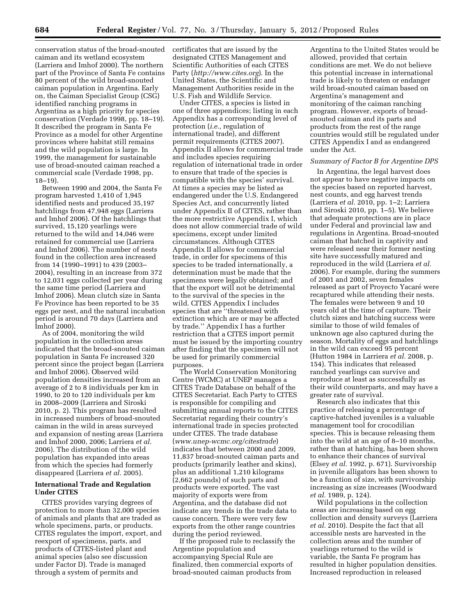conservation status of the broad-snouted caiman and its wetland ecosystem (Larriera and Imhof 2000). The northern part of the Province of Santa Fe contains 80 percent of the wild broad-snouted caiman population in Argentina. Early on, the Caiman Specialist Group (CSG) identified ranching programs in Argentina as a high priority for species conservation (Verdade 1998, pp. 18–19). It described the program in Santa Fe Province as a model for other Argentine provinces where habitat still remains and the wild population is large. In 1999, the management for sustainable use of broad-snouted caiman reached a commercial scale (Verdade 1998, pp. 18–19).

Between 1990 and 2004, the Santa Fe program harvested 1,410 of 1,945 identified nests and produced 35,197 hatchlings from 47,948 eggs (Larriera and Imhof 2006). Of the hatchlings that survived, 15,120 yearlings were returned to the wild and 14,046 were retained for commercial use (Larriera and Imhof 2006). The number of nests found in the collection area increased from 14 (1990–1991) to 439 (2003– 2004), resulting in an increase from 372 to 12,031 eggs collected per year during the same time period (Larriera and Imhof 2006). Mean clutch size in Santa Fe Province has been reported to be 35 eggs per nest, and the natural incubation period is around 70 days (Larriera and Imhof 2000).

As of 2004, monitoring the wild population in the collection areas indicated that the broad-snouted caiman population in Santa Fe increased 320 percent since the project began (Larriera and Imhof 2006). Observed wild population densities increased from an average of 2 to 8 individuals per km in 1990, to 20 to 120 individuals per km in 2008–2009 (Larriera and Siroski 2010, p. 2). This program has resulted in increased numbers of broad-snouted caiman in the wild in areas surveyed and expansion of nesting areas (Larriera and Imhof 2000, 2006; Larriera *et al.*  2006). The distribution of the wild population has expanded into areas from which the species had formerly disappeared (Larriera *et al.* 2005).

#### **International Trade and Regulation Under CITES**

CITES provides varying degrees of protection to more than 32,000 species of animals and plants that are traded as whole specimens, parts, or products. CITES regulates the import, export, and reexport of specimens, parts, and products of CITES-listed plant and animal species (also see discussion under Factor D). Trade is managed through a system of permits and

certificates that are issued by the designated CITES Management and Scientific Authorities of each CITES Party (*<http://www.cites.org>*). In the United States, the Scientific and Management Authorities reside in the U.S. Fish and Wildlife Service.

Under CITES, a species is listed in one of three appendices; listing in each Appendix has a corresponding level of protection (*i.e.,* regulation of international trade), and different permit requirements (CITES 2007). Appendix II allows for commercial trade and includes species requiring regulation of international trade in order to ensure that trade of the species is compatible with the species' survival. At times a species may be listed as endangered under the U.S. Endangered Species Act, and concurrently listed under Appendix II of CITES, rather than the more restrictive Appendix I, which does not allow commercial trade of wild specimens, except under limited circumstances. Although CITES Appendix II allows for commercial trade, in order for specimens of this species to be traded internationally, a determination must be made that the specimens were legally obtained; and that the export will not be detrimental to the survival of the species in the wild. CITES Appendix I includes species that are ''threatened with extinction which are or may be affected by trade.'' Appendix I has a further restriction that a CITES import permit must be issued by the importing country after finding that the specimen will not be used for primarily commercial purposes.

The World Conservation Monitoring Centre (WCMC) at UNEP manages a CITES Trade Database on behalf of the CITES Secretariat. Each Party to CITES is responsible for compiling and submitting annual reports to the CITES Secretariat regarding their country's international trade in species protected under CITES. The trade database (*[www.unep-wcmc.org/citestrade](http://www.unep-wcmc.org/citestrade)*) indicates that between 2000 and 2009, 11,837 broad-snouted caiman parts and products (primarily leather and skins), plus an additional 1,210 kilograms (2,662 pounds) of such parts and products were exported. The vast majority of exports were from Argentina, and the database did not indicate any trends in the trade data to cause concern. There were very few exports from the other range countries during the period reviewed.

If the proposed rule to reclassify the Argentine population and accompanying Special Rule are finalized, then commercial exports of broad-snouted caiman products from

Argentina to the United States would be allowed, provided that certain conditions are met. We do not believe this potential increase in international trade is likely to threaten or endanger wild broad-snouted caiman based on Argentina's management and monitoring of the caiman ranching program. However, exports of broadsnouted caiman and its parts and products from the rest of the range countries would still be regulated under CITES Appendix I and as endangered under the Act.

#### *Summary of Factor B for Argentine DPS*

In Argentina, the legal harvest does not appear to have negative impacts on the species based on reported harvest, nest counts, and egg harvest trends (Larriera *et al.* 2010, pp. 1–2; Larriera and Siroski 2010, pp. 1–5). We believe that adequate protections are in place under Federal and provincial law and regulations in Argentina. Broad-snouted caiman that hatched in captivity and were released near their former nesting site have successfully matured and reproduced in the wild (Larriera *et al.*  2006). For example, during the summers of 2001 and 2002, seven females released as part of Proyecto Yacaré were recaptured while attending their nests. The females were between 9 and 10 years old at the time of capture. Their clutch sizes and hatching success were similar to those of wild females of unknown age also captured during the season. Mortality of eggs and hatchlings in the wild can exceed 95 percent (Hutton 1984 in Larriera *et al.* 2008, p. 154). This indicates that released ranched yearlings can survive and reproduce at least as successfully as their wild counterparts, and may have a greater rate of survival.

Research also indicates that this practice of releasing a percentage of captive-hatched juveniles is a valuable management tool for crocodilian species. This is because releasing them into the wild at an age of 8–10 months, rather than at hatching, has been shown to enhance their chances of survival (Elsey *et al.* 1992, p. 671). Survivorship in juvenile alligators has been shown to be a function of size, with survivorship increasing as size increases (Woodward *et al.* 1989, p. 124).

Wild populations in the collection areas are increasing based on egg collection and density surveys (Larriera *et al.* 2010). Despite the fact that all accessible nests are harvested in the collection areas and the number of yearlings returned to the wild is variable, the Santa Fe program has resulted in higher population densities. Increased reproduction in released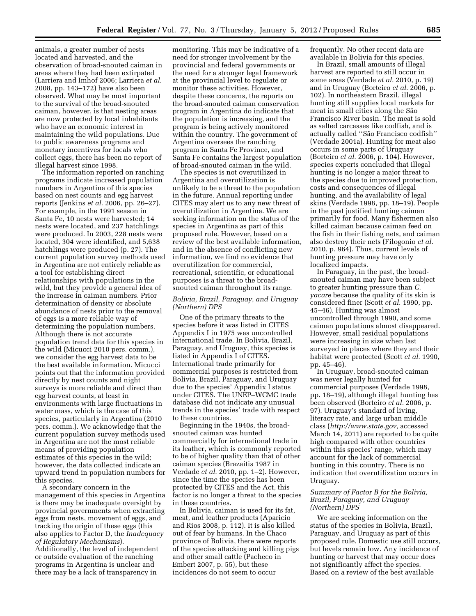animals, a greater number of nests located and harvested, and the observation of broad-snouted caiman in areas where they had been extirpated (Larriera and Imhof 2006; Larriera *et al.*  2008, pp. 143–172) have also been observed. What may be most important to the survival of the broad-snouted caiman, however, is that nesting areas are now protected by local inhabitants who have an economic interest in maintaining the wild populations. Due to public awareness programs and monetary incentives for locals who collect eggs, there has been no report of illegal harvest since 1998.

The information reported on ranching programs indicate increased population numbers in Argentina of this species based on nest counts and egg harvest reports (Jenkins *et al.* 2006, pp. 26–27). For example, in the 1991 season in Santa Fe, 10 nests were harvested; 14 nests were located, and 237 hatchlings were produced. In 2003, 228 nests were located, 304 were identified, and 5,638 hatchlings were produced (p. 27). The current population survey methods used in Argentina are not entirely reliable as a tool for establishing direct relationships with populations in the wild, but they provide a general idea of the increase in caiman numbers. Prior determination of density or absolute abundance of nests prior to the removal of eggs is a more reliable way of determining the population numbers. Although there is not accurate population trend data for this species in the wild (Micucci 2010 pers. comm.), we consider the egg harvest data to be the best available information. Micucci points out that the information provided directly by nest counts and night surveys is more reliable and direct than egg harvest counts, at least in environments with large fluctuations in water mass, which is the case of this species, particularly in Argentina (2010 pers. comm.). We acknowledge that the current population survey methods used in Argentina are not the most reliable means of providing population estimates of this species in the wild; however, the data collected indicate an upward trend in population numbers for this species.

A secondary concern in the management of this species in Argentina is there may be inadequate oversight by provincial governments when extracting eggs from nests, movement of eggs, and tracking the origin of these eggs (this also applies to Factor D, the *Inadequacy of Regulatory Mechanisms*). Additionally, the level of independent or outside evaluation of the ranching programs in Argentina is unclear and there may be a lack of transparency in

monitoring. This may be indicative of a need for stronger involvement by the provincial and federal governments or the need for a stronger legal framework at the provincial level to regulate or monitor these activities. However, despite these concerns, the reports on the broad-snouted caiman conservation program in Argentina do indicate that the population is increasing, and the program is being actively monitored within the country. The government of Argentina oversees the ranching program in Santa Fe Province, and Santa Fe contains the largest population of broad-snouted caiman in the wild.

The species is not overutilized in Argentina and overutilization is unlikely to be a threat to the population in the future. Annual reporting under CITES may alert us to any new threat of overutilization in Argentina. We are seeking information on the status of the species in Argentina as part of this proposed rule. However, based on a review of the best available information, and in the absence of conflicting new information, we find no evidence that overutilization for commercial, recreational, scientific, or educational purposes is a threat to the broadsnouted caiman throughout its range.

#### *Bolivia, Brazil, Paraguay, and Uruguay (Northern) DPS*

One of the primary threats to the species before it was listed in CITES Appendix I in 1975 was uncontrolled international trade. In Bolivia, Brazil, Paraguay, and Uruguay, this species is listed in Appendix I of CITES. International trade primarily for commercial purposes is restricted from Bolivia, Brazil, Paraguay, and Uruguay due to the species' Appendix I status under CITES. The UNEP–WCMC trade database did not indicate any unusual trends in the species' trade with respect to these countries.

Beginning in the 1940s, the broadsnouted caiman was hunted commercially for international trade in its leather, which is commonly reported to be of higher quality than that of other caiman species (Brazaitis 1987 in Verdade *et al.* 2010, pp. 1–2). However, since the time the species has been protected by CITES and the Act, this factor is no longer a threat to the species in these countries.

In Bolivia, caiman is used for its fat, meat, and leather products (Aparicio and Rios 2008, p. 112). It is also killed out of fear by humans. In the Chaco province of Bolivia, there were reports of the species attacking and killing pigs and other small cattle (Pacheco in Embert 2007, p. 55), but these incidences do not seem to occur

frequently. No other recent data are available in Bolivia for this species.

In Brazil, small amounts of illegal harvest are reported to still occur in some areas (Verdade *et al.* 2010, p. 19) and in Uruguay (Borteiro *et al.* 2006, p. 102). In northeastern Brazil, illegal hunting still supplies local markets for meat in small cities along the São Francisco River basin. The meat is sold as salted carcasses like codfish, and is actually called "São Francisco codfish" (Verdade 2001a). Hunting for meat also occurs in some parts of Uruguay (Borteiro *et al.* 2006, p. 104). However, species experts concluded that illegal hunting is no longer a major threat to the species due to improved protection, costs and consequences of illegal hunting, and the availability of legal skins (Verdade 1998, pp. 18–19). People in the past justified hunting caiman primarily for food. Many fishermen also killed caiman because caiman feed on the fish in their fishing nets, and caiman also destroy their nets (Filogonio *et al.*  2010, p. 964). Thus, current levels of hunting pressure may have only localized impacts.

In Paraguay, in the past, the broadsnouted caiman may have been subject to greater hunting pressure than *C. yacare* because the quality of its skin is considered finer (Scott *et al.* 1990, pp. 45–46). Hunting was almost uncontrolled through 1990, and some caiman populations almost disappeared. However, small residual populations were increasing in size when last surveyed in places where they and their habitat were protected (Scott *et al.* 1990, pp. 45–46).

In Uruguay, broad-snouted caiman was never legally hunted for commercial purposes (Verdade 1998, pp. 18–19), although illegal hunting has been observed (Borteiro *et al.* 2006, p. 97). Uruguay's standard of living, literacy rate, and large urban middle class (*[http://www.state.gov,](http://www.state.gov)* accessed March 14, 2011) are reported to be quite high compared with other countries within this species' range, which may account for the lack of commercial hunting in this country. There is no indication that overutilization occurs in Uruguay.

#### *Summary of Factor B for the Bolivia, Brazil, Paraguay, and Uruguay (Northern) DPS*

We are seeking information on the status of the species in Bolivia, Brazil, Paraguay, and Uruguay as part of this proposed rule. Domestic use still occurs, but levels remain low. Any incidence of hunting or harvest that may occur does not significantly affect the species. Based on a review of the best available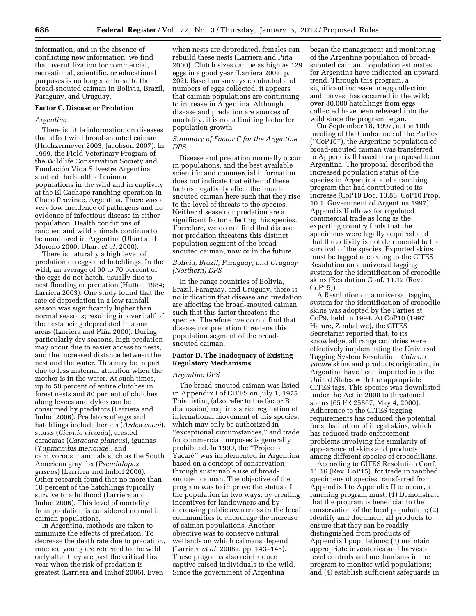information, and in the absence of conflicting new information, we find that overutilization for commercial, recreational, scientific, or educational purposes is no longer a threat to the broad-snouted caiman in Bolivia, Brazil, Paraguay, and Uruguay.

#### **Factor C. Disease or Predation**

#### *Argentina*

There is little information on diseases that affect wild broad-snouted caiman (Huchzermeyer 2003; Jacobson 2007). In 1999, the Field Veterinary Program of the Wildlife Conservation Society and Fundación Vida Silvestre Argentina studied the health of caiman populations in the wild and in captivity at the El Cachapé ranching operation in Chaco Province, Argentina. There was a very low incidence of pathogens and no evidence of infectious disease in either population. Health conditions of ranched and wild animals continue to be monitored in Argentina (Uhart and Moreno 2000; Uhart *et al.* 2000).

There is naturally a high level of predation on eggs and hatchlings. In the wild, an average of 60 to 70 percent of the eggs do not hatch, usually due to nest flooding or predation (Hutton 1984; Larriera 2003). One study found that the rate of depredation in a low rainfall season was significantly higher than normal seasons; resulting in over half of the nests being depredated in some areas (Larriera and Piña 2000). During particularly dry seasons, high predation may occur due to easier access to nests, and the increased distance between the nest and the water. This may be in part due to less maternal attention when the mother is in the water. At such times, up to 50 percent of entire clutches in forest nests and 80 percent of clutches along levees and dykes can be consumed by predators (Larriera and Imhof 2006). Predators of eggs and hatchlings include herons (*Ardea cocoi*), storks (*Ciconia ciconia*), crested caracaras (*Caracara plancus*), iguanas (*Tupinambis merianae*), and carnivorous mammals such as the South American gray fox (*Pseudalopex griseus*) (Larriera and Imhof 2006). Other research found that no more than 10 percent of the hatchlings typically survive to adulthood (Larriera and Imhof 2006). This level of mortality from predation is considered normal in caiman populations.

In Argentina, methods are taken to minimize the effects of predation. To decrease the death rate due to predation, ranched young are returned to the wild only after they are past the critical first year when the risk of predation is greatest (Larriera and Imhof 2006). Even

when nests are depredated, females can rebuild these nests (Larriera and Piña 2000). Clutch sizes can be as high as 129 eggs in a good year (Larriera 2002, p. 202). Based on surveys conducted and numbers of eggs collected, it appears that caiman populations are continuing to increase in Argentina. Although disease and predation are sources of mortality, it is not a limiting factor for population growth.

#### *Summary of Factor C for the Argentine DPS*

Disease and predation normally occur in populations, and the best available scientific and commercial information does not indicate that either of these factors negatively affect the broadsnouted caiman here such that they rise to the level of threats to the species. Neither disease nor predation are a significant factor affecting this species. Therefore, we do not find that disease nor predation threatens this distinct population segment of the broadsnouted caiman, now or in the future.

#### *Bolivia, Brazil, Paraguay, and Uruguay (Northern) DPS*

In the range countries of Bolivia, Brazil, Paraguay, and Uruguay, there is no indication that disease and predation are affecting the broad-snouted caiman such that this factor threatens the species. Therefore, we do not find that disease nor predation threatens this population segment of the broadsnouted caiman.

#### **Factor D. The Inadequacy of Existing Regulatory Mechanisms**

#### *Argentine DPS*

The broad-snouted caiman was listed in Appendix I of CITES on July 1, 1975. This listing (also refer to the factor B discussion) requires strict regulation of international movement of this species, which may only be authorized in ''exceptional circumstances,'' and trade for commercial purposes is generally prohibited. In 1990, the ''Projecto Yacaré'' was implemented in Argentina based on a concept of conservation through sustainable use of broadsnouted caiman. The objective of the program was to improve the status of the population in two ways: by creating incentives for landowners and by increasing public awareness in the local communities to encourage the increase of caiman populations. Another objective was to conserve natural wetlands on which caimans depend (Larriera *et al.* 2008a, pp. 143–145). These programs also reintroduce captive-raised individuals to the wild. Since the government of Argentina

began the management and monitoring of the Argentine population of broadsnouted caiman, population estimates for Argentina have indicated an upward trend. Through this program, a significant increase in egg collection and harvest has occurred in the wild; over 30,000 hatchlings from eggs collected have been released into the wild since the program began.

On September 18, 1997, at the 10th meeting of the Conference of the Parties (''CoP10''), the Argentine population of broad-snouted caiman was transferred to Appendix II based on a proposal from Argentina. The proposal described the increased population status of the species in Argentina, and a ranching program that had contributed to its increase (CoP10 Doc. 10.86, CoP10 Prop. 10.1, Government of Argentina 1997). Appendix II allows for regulated commercial trade as long as the exporting country finds that the specimens were legally acquired and that the activity is not detrimental to the survival of the species. Exported skins must be tagged according to the CITES Resolution on a universal tagging system for the identification of crocodile skins (Resolution Conf. 11.12 (Rev. CoP15)).

A Resolution on a universal tagging system for the identification of crocodile skins was adopted by the Parties at CoP9, held in 1994. At CoP10 (1997, Harare, Zimbabwe), the CITES Secretariat reported that, to its knowledge, all range countries were effectively implementing the Universal Tagging System Resolution. *Caiman yacare* skins and products originating in Argentina have been imported into the United States with the appropriate CITES tags. This species was downlisted under the Act in 2000 to threatened status [65 FR 25867, May 4, 2000]. Adherence to the CITES tagging requirements has reduced the potential for substitution of illegal skins, which has reduced trade enforcement problems involving the similarity of appearance of skins and products among different species of crocodilians.

According to CITES Resolution Conf. 11.16 (Rev. CoP15), for trade in ranched specimens of species transferred from Appendix I to Appendix II to occur, a ranching program must: (1) Demonstrate that the program is beneficial to the conservation of the local population; (2) identify and document all products to ensure that they can be readily distinguished from products of Appendix I populations; (3) maintain appropriate inventories and harvestlevel controls and mechanisms in the program to monitor wild populations; and (4) establish sufficient safeguards in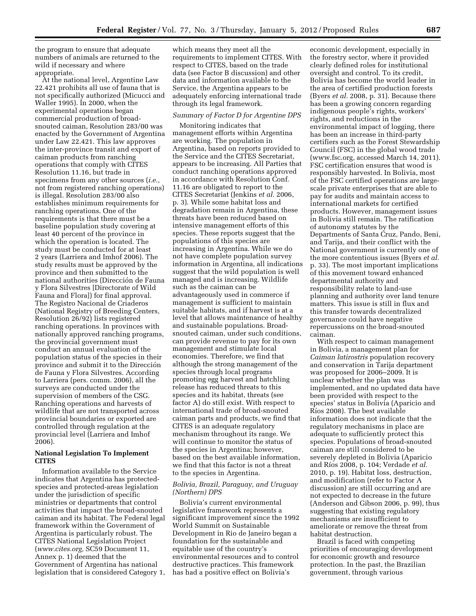the program to ensure that adequate numbers of animals are returned to the wild if necessary and where appropriate.

At the national level, Argentine Law 22.421 prohibits all use of fauna that is not specifically authorized (Micucci and Waller 1995). In 2000, when the experimental operations began commercial production of broadsnouted caiman, Resolution 283/00 was enacted by the Government of Argentina under Law 22.421. This law approves the inter-province transit and export of caiman products from ranching operations that comply with CITES Resolution 11.16, but trade in specimens from any other sources (*i.e.,*  not from registered ranching operations) is illegal. Resolution 283/00 also establishes minimum requirements for ranching operations. One of the requirements is that there must be a baseline population study covering at least 40 percent of the province in which the operation is located. The study must be conducted for at least 2 years (Larriera and Imhof 2006). The study results must be approved by the province and then submitted to the national authorities (Dirección de Fauna y Flora Silvestres [Directorate of Wild Fauna and Flora]) for final approval. The Registro Nacional de Criaderos (National Registry of Breeding Centers, Resolution 26/92) lists registered ranching operations. In provinces with nationally approved ranching programs, the provincial government must conduct an annual evaluation of the population status of the species in their province and submit it to the Dirección de Fauna y Flora Silvestres. According to Larriera (pers. comm. 2006), all the surveys are conducted under the supervision of members of the CSG. Ranching operations and harvests of wildlife that are not transported across provincial boundaries or exported are controlled through regulation at the provincial level (Larriera and Imhof 2006).

#### **National Legislation To Implement CITES**

Information available to the Service indicates that Argentina has protectedspecies and protected-areas legislation under the jurisdiction of specific ministries or departments that control activities that impact the broad-snouted caiman and its habitat. The Federal legal framework within the Government of Argentina is particularly robust. The CITES National Legislation Project (*[www.cites.org,](http://www.cites.org)* SC59 Document 11, Annex p. 1) deemed that the Government of Argentina has national legislation that is considered Category 1,

which means they meet all the requirements to implement CITES. With respect to CITES, based on the trade data (see Factor B discussion) and other data and information available to the Service, the Argentina appears to be adequately enforcing international trade through its legal framework.

#### *Summary of Factor D for Argentine DPS*

Monitoring indicates that management efforts within Argentina are working. The population in Argentina, based on reports provided to the Service and the CITES Secretariat, appears to be increasing. All Parties that conduct ranching operations approved in accordance with Resolution Conf. 11.16 are obligated to report to the CITES Secretariat (Jenkins *et al.* 2006, p. 3). While some habitat loss and degradation remain in Argentina, these threats have been reduced based on intensive management efforts of this species. These reports suggest that the populations of this species are increasing in Argentina. While we do not have complete population survey information in Argentina, all indications suggest that the wild population is well managed and is increasing. Wildlife such as the caiman can be advantageously used in commerce if management is sufficient to maintain suitable habitats, and if harvest is at a level that allows maintenance of healthy and sustainable populations. Broadsnouted caiman, under such conditions, can provide revenue to pay for its own management and stimulate local economies. Therefore, we find that although the strong management of the species through local programs promoting egg harvest and hatchling release has reduced threats to this species and its habitat, threats (see factor A) do still exist. With respect to international trade of broad-snouted caiman parts and products, we find that CITES is an adequate regulatory mechanism throughout its range. We will continue to monitor the status of the species in Argentina; however, based on the best available information, we find that this factor is not a threat to the species in Argentina.

#### *Bolivia, Brazil, Paraguay, and Uruguay (Northern) DPS*

Bolivia's current environmental legislative framework represents a significant improvement since the 1992 World Summit on Sustainable Development in Rio de Janeiro began a foundation for the sustainable and equitable use of the country's environmental resources and to control destructive practices. This framework has had a positive effect on Bolivia's

economic development, especially in the forestry sector, where it provided clearly defined roles for institutional oversight and control. To its credit, Bolivia has become the world leader in the area of certified production forests (Byers *et al.* 2008, p. 31). Because there has been a growing concern regarding indigenous people's rights, workers' rights, and reductions in the environmental impact of logging, there has been an increase in third-party certifiers such as the Forest Stewardship Council (FSC) in the global wood trade (www.fsc.org, accessed March 14, 2011). FSC certification ensures that wood is responsibly harvested. In Bolivia, most of the FSC certified operations are largescale private enterprises that are able to pay for audits and maintain access to international markets for certified products. However, management issues in Bolivia still remain. The ratification of autonomy statutes by the Departments of Santa Cruz, Pando, Beni, and Tarija, and their conflict with the National government is currently one of the more contentious issues (Byers *et al.*  p. 33). The most important implications of this movement toward enhanced departmental authority and responsibility relate to land-use planning and authority over land tenure matters. This issue is still in flux and this transfer towards decentralized governance could have negative repercussions on the broad-snouted caiman.

With respect to caiman management in Bolivia, a management plan for *Caiman latirostris* population recovery and conservation in Tarija department was proposed for 2006–2009. It is unclear whether the plan was implemented, and no updated data have been provided with respect to the species' status in Bolivia (Aparicio and Ríos 2008). The best available information does not indicate that the regulatory mechanisms in place are adequate to sufficiently protect this species. Populations of broad-snouted caiman are still considered to be severely depleted in Bolivia (Aparicio and Rı´os 2008, p. 104; Verdade *et al.*  2010, p. 19). Habitat loss, destruction, and modification (refer to Factor A discussion) are still occurring and are not expected to decrease in the future (Anderson and Gibson 2006, p. 99), thus suggesting that existing regulatory mechanisms are insufficient to ameliorate or remove the threat from habitat destruction.

Brazil is faced with competing priorities of encouraging development for economic growth and resource protection. In the past, the Brazilian government, through various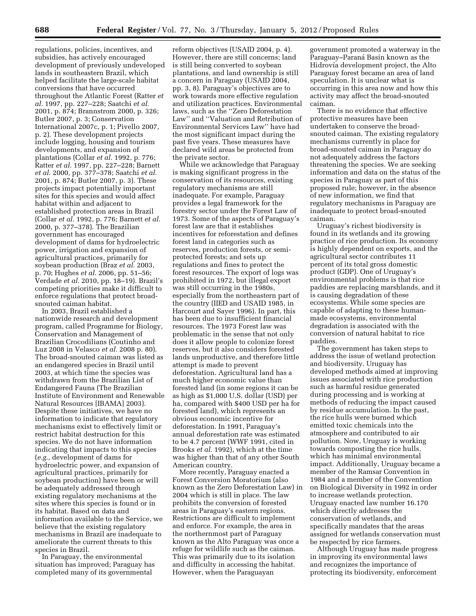regulations, policies, incentives, and subsidies, has actively encouraged development of previously undeveloped lands in southeastern Brazil, which helped facilitate the large-scale habitat conversions that have occurred throughout the Atlantic Forest (Ratter *et al.* 1997, pp. 227–228; Saatchi *et al.*  2001, p. 874; Brannstrom 2000, p. 326; Butler 2007, p. 3; Conservation International 2007c, p. 1; Pivello 2007, p. 2). These development projects include logging, housing and tourism developments, and expansion of plantations (Collar *et al.* 1992, p. 776; Ratter *et al.* 1997, pp. 227–228; Barnett *et al.* 2000, pp. 377–378; Saatchi *et al.*  2001, p. 874; Butler 2007, p. 3). These projects impact potentially important sites for this species and would affect habitat within and adjacent to established protection areas in Brazil (Collar *et al.* 1992, p. 776; Barnett *et al.*  2000, p. 377–378). The Brazilian government has encouraged development of dams for hydroelectric power, irrigation and expansion of agricultural practices, primarily for soybean production (Braz *et al.* 2003, p. 70; Hughes *et al.* 2006, pp. 51–56; Verdade *et al.* 2010, pp. 18–19). Brazil's competing priorities make it difficult to enforce regulations that protect broadsnouted caiman habitat.

In 2003, Brazil established a nationwide research and development program, called Programme for Biology, Conservation and Management of Brazilian Crocodilians (Coutinho and Luz 2008 in Velasco *et al.* 2008 p. 80). The broad-snouted caiman was listed as an endangered species in Brazil until 2003, at which time the species was withdrawn from the Brazilian List of Endangered Fauna (The Brazilian Institute of Environment and Renewable Natural Resources [IBAMA] 2003). Despite these initiatives, we have no information to indicate that regulatory mechanisms exist to effectively limit or restrict habitat destruction for this species. We do not have information indicating that impacts to this species (*e.g.,* development of dams for hydroelectric power, and expansion of agricultural practices, primarily for soybean production) have been or will be adequately addressed through existing regulatory mechanisms at the sites where this species is found or in its habitat. Based on data and information available to the Service, we believe that the existing regulatory mechanisms in Brazil are inadequate to ameliorate the current threats to this species in Brazil.

In Paraguay, the environmental situation has improved; Paraguay has completed many of its governmental

reform objectives (USAID 2004, p. 4). However, there are still concerns; land is still being converted to soybean plantations, and land ownership is still a concern in Paraguay (USAID 2004, pp. 3, 8). Paraguay's objectives are to work towards more effective regulation and utilization practices. Environmental laws, such as the ''Zero Deforestation Law'' and ''Valuation and Retribution of Environmental Services Law'' have had the most significant impact during the past five years. These measures have declared wild areas be protected from the private sector.

While we acknowledge that Paraguay is making significant progress in the conservation of its resources, existing regulatory mechanisms are still inadequate. For example, Paraguay provides a legal framework for the forestry sector under the Forest Law of 1973. Some of the aspects of Paraguay's forest law are that it establishes incentives for reforestation and defines forest land in categories such as reserves, production forests, or semiprotected forests; and sets up regulations and fines to protect the forest resources. The export of logs was prohibited in 1972, but illegal export was still occurring in the 1980s, especially from the northeastern part of the country (IIED and USAID 1985, in Harcourt and Sayer 1996). In part, this has been due to insufficient financial resources. The 1973 Forest law was problematic in the sense that not only does it allow people to colonize forest reserves, but it also considers forested lands unproductive, and therefore little attempt is made to prevent deforestation. Agricultural land has a much higher economic value than forested land (in some regions it can be as high as \$1,000 U.S. dollar (USD) per ha, compared with \$400 USD per ha for forested land), which represents an obvious economic incentive for deforestation. In 1991, Paraguay's annual deforestation rate was estimated to be 4.7 percent (WWF 1991, cited in Brooks *et al.* 1992), which at the time was higher than that of any other South American country.

More recently, Paraguay enacted a Forest Conversion Moratorium (also known as the Zero Deforestation Law) in 2004 which is still in place. The law prohibits the conversion of forested areas in Paraguay's eastern regions. Restrictions are difficult to implement and enforce. For example, the area in the northernmost part of Paraguay known as the Alto Paraguay was once a refuge for wildlife such as the caiman. This was primarily due to its isolation and difficulty in accessing the habitat. However, when the Paraguayan

government promoted a waterway in the Paraguay–Paraná Basin known as the Hidrovía development project, the Alto Paraguay forest became an area of land speculation. It is unclear what is occurring in this area now and how this activity may affect the broad-snouted caiman.

There is no evidence that effective protective measures have been undertaken to conserve the broadsnouted caiman. The existing regulatory mechanisms currently in place for broad-snouted caiman in Paraguay do not adequately address the factors threatening the species. We are seeking information and data on the status of the species in Paraguay as part of this proposed rule; however, in the absence of new information, we find that regulatory mechanisms in Paraguay are inadequate to protect broad-snouted caiman.

Uruguay's richest biodiversity is found in its wetlands and its growing practice of rice production. Its economy is highly dependent on exports, and the agricultural sector contributes 11 percent of its total gross domestic product (GDP). One of Uruguay's environmental problems is that rice paddies are replacing marshlands, and it is causing degradation of these ecosystems. While some species are capable of adapting to these humanmade ecosystems, environmental degradation is associated with the conversion of natural habitat to rice paddies.

The government has taken steps to address the issue of wetland protection and biodiversity. Uruguay has developed methods aimed at improving issues associated with rice production such as harmful residue generated during processing and is working at methods of reducing the impact caused by residue accumulation. In the past, the rice hulls were burned which emitted toxic chemicals into the atmosphere and contributed to air pollution. Now, Uruguay is working towards composting the rice hulls, which has minimal environmental impact. Additionally, Uruguay became a member of the Ramsar Convention in 1984 and a member of the Convention on Biological Diversity in 1992 in order to increase wetlands protection. Uruguay enacted law number 16.170 which directly addresses the conservation of wetlands, and specifically mandates that the areas assigned for wetlands conservation must be respected by rice farmers.

Although Uruguay has made progress in improving its environmental laws and recognizes the importance of protecting its biodiversity, enforcement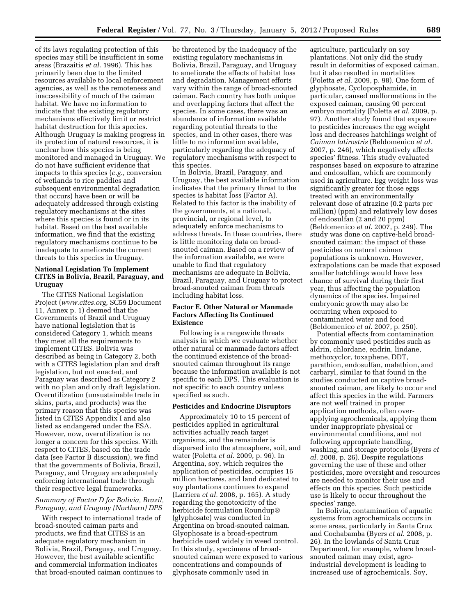of its laws regulating protection of this species may still be insufficient in some areas (Brazaitis *et al.* 1996). This has primarily been due to the limited resources available to local enforcement agencies, as well as the remoteness and inaccessibility of much of the caiman habitat. We have no information to indicate that the existing regulatory mechanisms effectively limit or restrict habitat destruction for this species. Although Uruguay is making progress in its protection of natural resources, it is unclear how this species is being monitored and managed in Uruguay. We do not have sufficient evidence that impacts to this species (*e.g.,* conversion of wetlands to rice paddies and subsequent environmental degradation that occurs) have been or will be adequately addressed through existing regulatory mechanisms at the sites where this species is found or in its habitat. Based on the best available information, we find that the existing regulatory mechanisms continue to be inadequate to ameliorate the current threats to this species in Uruguay.

#### **National Legislation To Implement CITES in Bolivia, Brazil, Paraguay, and Uruguay**

The CITES National Legislation Project (*[www.cites.org,](http://www.cites.org)* SC59 Document 11, Annex p. 1) deemed that the Governments of Brazil and Uruguay have national legislation that is considered Category 1, which means they meet all the requirements to implement CITES. Bolivia was described as being in Category 2, both with a CITES legislation plan and draft legislation, but not enacted, and Paraguay was described as Category 2 with no plan and only draft legislation. Overutilization (unsustainable trade in skins, parts, and products) was the primary reason that this species was listed in CITES Appendix I and also listed as endangered under the ESA. However, now, overutilization is no longer a concern for this species. With respect to CITES, based on the trade data (see Factor B discussion), we find that the governments of Bolivia, Brazil, Paraguay, and Uruguay are adequately enforcing international trade through their respective legal frameworks.

#### *Summary of Factor D for Bolivia, Brazil, Paraguay, and Uruguay (Northern) DPS*

With respect to international trade of broad-snouted caiman parts and products, we find that CITES is an adequate regulatory mechanism in Bolivia, Brazil, Paraguay, and Uruguay. However, the best available scientific and commercial information indicates that broad-snouted caiman continues to

be threatened by the inadequacy of the existing regulatory mechanisms in Bolivia, Brazil, Paraguay, and Uruguay to ameliorate the effects of habitat loss and degradation. Management efforts vary within the range of broad-snouted caiman. Each country has both unique and overlapping factors that affect the species. In some cases, there was an abundance of information available regarding potential threats to the species, and in other cases, there was little to no information available, particularly regarding the adequacy of regulatory mechanisms with respect to this species.

In Bolivia, Brazil, Paraguay, and Uruguay, the best available information indicates that the primary threat to the species is habitat loss (Factor A). Related to this factor is the inability of the governments, at a national, provincial, or regional level, to adequately enforce mechanisms to address threats. In these countries, there is little monitoring data on broadsnouted caiman. Based on a review of the information available, we were unable to find that regulatory mechanisms are adequate in Bolivia, Brazil, Paraguay, and Uruguay to protect broad-snouted caiman from threats including habitat loss.

#### **Factor E. Other Natural or Manmade Factors Affecting Its Continued Existence**

Following is a rangewide threats analysis in which we evaluate whether other natural or manmade factors affect the continued existence of the broadsnouted caiman throughout its range because the information available is not specific to each DPS. This evaluation is not specific to each country unless specified as such.

#### **Pesticides and Endocrine Disruptors**

Approximately 10 to 15 percent of pesticides applied in agricultural activities actually reach target organisms, and the remainder is dispersed into the atmosphere, soil, and water (Poletta *et al.* 2009, p. 96). In Argentina, soy, which requires the application of pesticides, occupies 16 million hectares, and land dedicated to soy plantations continues to expand (Larriera *et al.* 2008, p. 165). A study regarding the genotoxicity of the herbicide formulation Roundup® (glyphosate) was conducted in Argentina on broad-snouted caiman. Glyophosate is a broad-spectrum herbicide used widely in weed control. In this study, specimens of broadsnouted caiman were exposed to various concentrations and compounds of glyphosate commonly used in

agriculture, particularly on soy plantations. Not only did the study result in deformities of exposed caiman, but it also resulted in mortalities (Poletta *et al.* 2009, p. 98). One form of glyphosate, Cycloposphamide, in particular, caused malformations in the exposed caiman, causing 90 percent embryo mortality (Poletta *et al.* 2009, p. 97). Another study found that exposure to pesticides increases the egg weight loss and decreases hatchlings weight of *Caiman latirostris* (Beldomenico *et al.*  2007, p. 246), which negatively affects species' fitness. This study evaluated responses based on exposure to atrazine and endosulfan, which are commonly used in agriculture. Egg weight loss was significantly greater for those eggs treated with an environmentally relevant dose of atrazine (0.2 parts per million) (ppm) and relatively low doses of endosulfan (2 and 20 ppm) (Beldomenico *et al.* 2007, p. 249). The study was done on captive-held broadsnouted caiman; the impact of these pesticides on natural caiman populations is unknown. However, extrapolations can be made that exposed smaller hatchlings would have less chance of survival during their first year, thus affecting the population dynamics of the species. Impaired embryonic growth may also be occurring when exposed to contaminated water and food (Beldomenico *et al.* 2007, p. 250).

Potential effects from contamination by commonly used pesticides such as aldrin, chlordane, endrin, lindane, methoxyclor, toxaphene, DDT, parathion, endosulfan, malathion, and carbaryl, similar to that found in the studies conducted on captive broadsnouted caiman, are likely to occur and affect this species in the wild. Farmers are not well trained in proper application methods, often overapplying agrochemicals, applying them under inappropriate physical or environmental conditions, and not following appropriate handling, washing, and storage protocols (Byers *et al.* 2008, p. 26). Despite regulations governing the use of these and other pesticides, more oversight and resources are needed to monitor their use and effects on this species. Such pesticide use is likely to occur throughout the species' range.

In Bolivia, contamination of aquatic systems from agrochemicals occurs in some areas, particularly in Santa Cruz and Cochabamba (Byers *et al.* 2008, p. 26). In the lowlands of Santa Cruz Department, for example, where broadsnouted caiman may exist, agroindustrial development is leading to increased use of agrochemicals. Soy,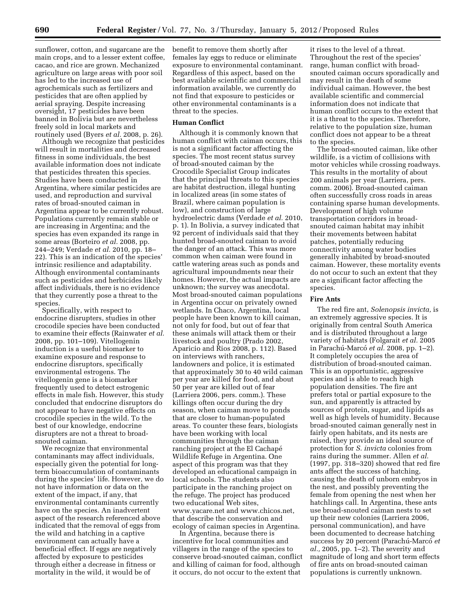sunflower, cotton, and sugarcane are the main crops, and to a lesser extent coffee, cacao, and rice are grown. Mechanized agriculture on large areas with poor soil has led to the increased use of agrochemicals such as fertilizers and pesticides that are often applied by aerial spraying. Despite increasing oversight, 17 pesticides have been banned in Bolivia but are nevertheless freely sold in local markets and routinely used (Byers *et al.* 2008, p. 26).

Although we recognize that pesticides will result in mortalities and decreased fitness in some individuals, the best available information does not indicate that pesticides threaten this species. Studies have been conducted in Argentina, where similar pesticides are used, and reproduction and survival rates of broad-snouted caiman in Argentina appear to be currently robust. Populations currently remain stable or are increasing in Argentina; and the species has even expanded its range in some areas (Borteiro *et al.* 2008, pp. 244–249; Verdade *et al.* 2010, pp. 18– 22). This is an indication of the species' intrinsic resilience and adaptability. Although environmental contaminants such as pesticides and herbicides likely affect individuals, there is no evidence that they currently pose a threat to the species.

Specifically, with respect to endocrine disrupters, studies in other crocodile species have been conducted to examine their effects (Rainwater *et al.*  2008, pp. 101–109). Vitellogenin induction is a useful biomarker to examine exposure and response to endocrine disruptors, specifically environmental estrogens. The vitellogenin gene is a biomarker frequently used to detect estrogenic effects in male fish. However, this study concluded that endocrine disruptors do not appear to have negative effects on crocodile species in the wild. To the best of our knowledge, endocrine disrupters are not a threat to broadsnouted caiman.

We recognize that environmental contaminants may affect individuals, especially given the potential for longterm bioaccumulation of contaminants during the species' life. However, we do not have information or data on the extent of the impact, if any, that environmental contaminants currently have on the species. An inadvertent aspect of the research referenced above indicated that the removal of eggs from the wild and hatching in a captive environment can actually have a beneficial effect. If eggs are negatively affected by exposure to pesticides through either a decrease in fitness or mortality in the wild, it would be of

benefit to remove them shortly after females lay eggs to reduce or eliminate exposure to environmental contaminant. Regardless of this aspect, based on the best available scientific and commercial information available, we currently do not find that exposure to pesticides or other environmental contaminants is a threat to the species.

#### **Human Conflict**

Although it is commonly known that human conflict with caiman occurs, this is not a significant factor affecting the species. The most recent status survey of broad-snouted caiman by the Crocodile Specialist Group indicates that the principal threats to this species are habitat destruction, illegal hunting in localized areas (in some states of Brazil, where caiman population is low), and construction of large hydroelectric dams (Verdade *et al.* 2010, p. 1). In Bolivia, a survey indicated that 92 percent of individuals said that they hunted broad-snouted caiman to avoid the danger of an attack. This was more common when caiman were found in cattle watering areas such as ponds and agricultural impoundments near their homes. However, the actual impacts are unknown; the survey was anecdotal. Most broad-snouted caiman populations in Argentina occur on privately owned wetlands. In Chaco, Argentina, local people have been known to kill caiman, not only for food, but out of fear that these animals will attack them or their livestock and poultry (Prado 2002, Aparicio and Rios 2008, p. 112). Based on interviews with ranchers, landowners and police, it is estimated that approximately 30 to 40 wild caiman per year are killed for food, and about 50 per year are killed out of fear (Larriera 2006, pers. comm.). These killings often occur during the dry season, when caiman move to ponds that are closer to human-populated areas. To counter these fears, biologists have been working with local communities through the caiman ranching project at the El Cachapé Wildlife Refuge in Argentina. One aspect of this program was that they developed an educational campaign in local schools. The students also participate in the ranching project on the refuge. The project has produced two educational Web sites, www.yacare.net and www.chicos.net, that describe the conservation and ecology of caiman species in Argentina.

In Argentina, because there is incentive for local communities and villagers in the range of the species to conserve broad-snouted caiman, conflict and killing of caiman for food, although it occurs, do not occur to the extent that

it rises to the level of a threat. Throughout the rest of the species' range, human conflict with broadsnouted caiman occurs sporadically and may result in the death of some individual caiman. However, the best available scientific and commercial information does not indicate that human conflict occurs to the extent that it is a threat to the species. Therefore, relative to the population size, human conflict does not appear to be a threat to the species.

The broad-snouted caiman, like other wildlife, is a victim of collisions with motor vehicles while crossing roadways. This results in the mortality of about 200 animals per year (Larriera, pers. comm. 2006). Broad-snouted caiman often successfully cross roads in areas containing sparse human developments. Development of high volume transportation corridors in broadsnouted caiman habitat may inhibit their movements between habitat patches, potentially reducing connectivity among water bodies generally inhabited by broad-snouted caiman. However, these mortality events do not occur to such an extent that they are a significant factor affecting the species.

#### **Fire Ants**

The red fire ant, *Solenopsis invicta,* is an extremely aggressive species. It is originally from central South America and is distributed throughout a large variety of habitats (Folgarait *et al.* 2005 in Parachú-Marcó *et al.* 2008, pp. 1–2). It completely occupies the area of distribution of broad-snouted caiman. This is an opportunistic, aggressive species and is able to reach high population densities. The fire ant prefers total or partial exposure to the sun, and apparently is attracted by sources of protein, sugar, and lipids as well as high levels of humidity. Because broad-snouted caiman generally nest in fairly open habitats, and its nests are raised, they provide an ideal source of protection for *S. invicta* colonies from rains during the summer. Allen *et al.*  (1997, pp. 318–320) showed that red fire ants affect the success of hatching, causing the death of unborn embryos in the nest, and possibly preventing the female from opening the nest when her hatchlings call. In Argentina, these ants use broad-snouted caiman nests to set up their new colonies (Larriera 2006, personal communication), and have been documented to decrease hatching success by 20 percent (Parachú-Marcó et *al.,* 2005, pp. 1–2). The severity and magnitude of long and short term effects of fire ants on broad-snouted caiman populations is currently unknown.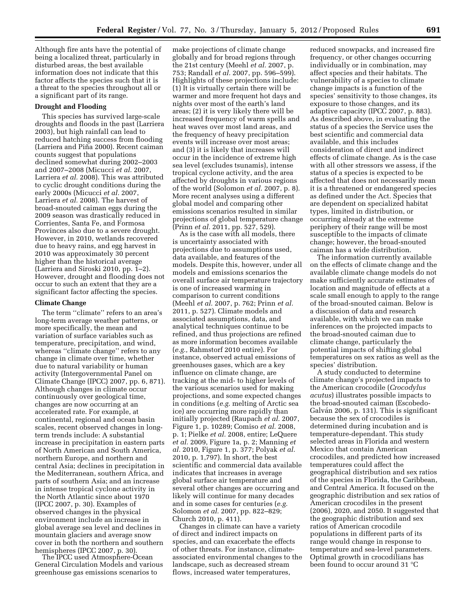Although fire ants have the potential of being a localized threat, particularly in disturbed areas, the best available information does not indicate that this factor affects the species such that it is a threat to the species throughout all or a significant part of its range.

#### **Drought and Flooding**

This species has survived large-scale droughts and floods in the past (Larriera 2003), but high rainfall can lead to reduced hatching success from flooding (Larriera and Piña 2000). Recent caiman counts suggest that populations declined somewhat during 2002–2003 and 2007–2008 (Micucci *et al.* 2007, Larriera *et al.* 2008). This was attributed to cyclic drought conditions during the early 2000s (Micucci *et al.* 2007, Larriera *et al.* 2008). The harvest of broad-snouted caiman eggs during the 2009 season was drastically reduced in Corrientes, Santa Fe, and Formosa Provinces also due to a severe drought. However, in 2010, wetlands recovered due to heavy rains, and egg harvest in 2010 was approximately 30 percent higher than the historical average (Larriera and Siroski 2010, pp. 1–2). However, drought and flooding does not occur to such an extent that they are a significant factor affecting the species.

#### **Climate Change**

The term ''climate'' refers to an area's long-term average weather patterns, or more specifically, the mean and variation of surface variables such as temperature, precipitation, and wind, whereas ''climate change'' refers to any change in climate over time, whether due to natural variability or human activity (Intergovernmental Panel on Climate Change (IPCC) 2007, pp. 6, 871). Although changes in climate occur continuously over geological time, changes are now occurring at an accelerated rate. For example, at continental, regional and ocean basin scales, recent observed changes in longterm trends include: A substantial increase in precipitation in eastern parts of North American and South America, northern Europe, and northern and central Asia; declines in precipitation in the Mediterranean, southern Africa, and parts of southern Asia; and an increase in intense tropical cyclone activity in the North Atlantic since about 1970 (IPCC 2007, p. 30). Examples of observed changes in the physical environment include an increase in global average sea level and declines in mountain glaciers and average snow cover in both the northern and southern<br>hemispheres (IPCC 2007, p. 30).

The IPCC used Atmosphere-Ocean General Circulation Models and various greenhouse gas emissions scenarios to

make projections of climate change globally and for broad regions through the 21st century (Meehl *et al.* 2007, p. 753; Randall *et al.* 2007, pp. 596–599). Highlights of these projections include: (1) It is virtually certain there will be warmer and more frequent hot days and nights over most of the earth's land areas; (2) it is very likely there will be increased frequency of warm spells and heat waves over most land areas, and the frequency of heavy precipitation events will increase over most areas; and (3) it is likely that increases will occur in the incidence of extreme high sea level (excludes tsunamis), intense tropical cyclone activity, and the area affected by droughts in various regions of the world (Solomon *et al.* 2007, p. 8). More recent analyses using a different global model and comparing other emissions scenarios resulted in similar projections of global temperature change (Prinn *et al.* 2011, pp. 527, 529).

As is the case with all models, there is uncertainty associated with projections due to assumptions used, data available, and features of the models. Despite this, however, under all models and emissions scenarios the overall surface air temperature trajectory is one of increased warming in comparison to current conditions (Meehl *et al.* 2007, p. 762; Prinn *et al.*  2011, p. 527). Climate models and associated assumptions, data, and analytical techniques continue to be refined, and thus projections are refined as more information becomes available (*e.g.,* Rahmstorf 2010 entire). For instance, observed actual emissions of greenhouses gases, which are a key influence on climate change, are tracking at the mid- to higher levels of the various scenarios used for making projections, and some expected changes in conditions (*e.g.* melting of Arctic sea ice) are occurring more rapidly than initially projected (Raupach *et al.* 2007, Figure 1, p. 10289; Comiso *et al.* 2008, p. 1; Pielke *et al.* 2008, entire; LeQuere *et al.* 2009, Figure 1a, p. 2; Manning *et al.* 2010, Figure 1, p. 377; Polyak *et al.*  2010, p. 1,797). In short, the best scientific and commercial data available indicates that increases in average global surface air temperature and several other changes are occurring and likely will continue for many decades and in some cases for centuries (*e.g.*  Solomon *et al.* 2007, pp. 822–829; Church 2010, p. 411).

Changes in climate can have a variety of direct and indirect impacts on species, and can exacerbate the effects of other threats. For instance, climateassociated environmental changes to the landscape, such as decreased stream flows, increased water temperatures,

reduced snowpacks, and increased fire frequency, or other changes occurring individually or in combination, may affect species and their habitats. The vulnerability of a species to climate change impacts is a function of the species' sensitivity to those changes, its exposure to those changes, and its adaptive capacity (IPCC 2007, p. 883). As described above, in evaluating the status of a species the Service uses the best scientific and commercial data available, and this includes consideration of direct and indirect effects of climate change. As is the case with all other stressors we assess, if the status of a species is expected to be affected that does not necessarily mean it is a threatened or endangered species as defined under the Act. Species that are dependent on specialized habitat types, limited in distribution, or occurring already at the extreme periphery of their range will be most susceptible to the impacts of climate change; however, the broad-snouted caiman has a wide distribution.

The information currently available on the effects of climate change and the available climate change models do not make sufficiently accurate estimates of location and magnitude of effects at a scale small enough to apply to the range of the broad-snouted caiman. Below is a discussion of data and research available, with which we can make inferences on the projected impacts to the broad-snouted caiman due to climate change, particularly the potential impacts of shifting global temperatures on sex ratios as well as the species' distribution.

A study conducted to determine climate change's projected impacts to the American crocodile (*Crocodylus acutus*) illustrates possible impacts to the broad-snouted caiman (Escobedo-Galván 2006, p. 131). This is significant because the sex of crocodiles is determined during incubation and is temperature-dependant. This study selected areas in Florida and western Mexico that contain American crocodiles, and predicted how increased temperatures could affect the geographical distribution and sex ratios of the species in Florida, the Caribbean, and Central America. It focused on the geographic distribution and sex ratios of American crocodiles in the present (2006), 2020, and 2050. It suggested that the geographic distribution and sex ratios of American crocodile populations in different parts of its range would change in response to temperature and sea-level parameters. Optimal growth in crocodilians has been found to occur around 31 °C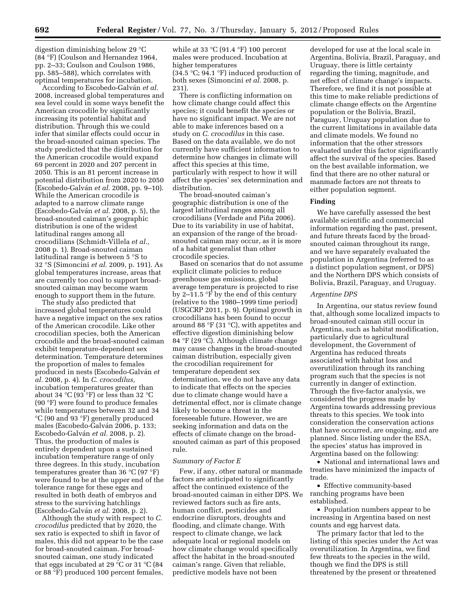digestion diminishing below 29 °C (84 °F) (Coulson and Hernandez 1964, pp. 2–33; Coulson and Coulson 1986, pp. 585–588), which correlates with optimal temperatures for incubation.

According to Escobedo-Galván *et al.* 2008, increased global temperatures and sea level could in some ways benefit the American crocodile by significantly increasing its potential habitat and distribution. Through this we could infer that similar effects could occur in the broad-snouted caiman species. The study predicted that the distribution for the American crocodile would expand 69 percent in 2020 and 207 percent in 2050. This is an 81 percent increase in potential distribution from 2020 to 2050 (Escobedo-Galva´n *et al.* 2008, pp. 9–10). While the American crocodile is adapted to a narrow climate range (Escobedo-Galva´n *et al.* 2008, p. 5), the broad-snouted caiman's geographic distribution is one of the widest latitudinal ranges among all crocodilians (Schmidt-Villela *et al.,*  2008 p. 1). Broad-snouted caiman latitudinal range is between 5 °S to 32 °S (Simoncini *et al.* 2009, p. 191). As global temperatures increase, areas that are currently too cool to support broadsnouted caiman may become warm enough to support them in the future.

The study also predicted that increased global temperatures could have a negative impact on the sex ratios of the American crocodile. Like other crocodilian species, both the American crocodile and the broad-snouted caiman exhibit temperature-dependent sex determination. Temperature determines the proportion of males to females produced in nests (Escobedo-Galva´n *et al.* 2008, p. 4). In *C. crocodilus,*  incubation temperatures greater than about 34  $°C$  (93 $\degree$ F) or less than 32  $°C$ (90 °F) were found to produce females while temperatures between 32 and 34 °C (90 and 93 °F) generally produced males (Escobedo-Galván 2006, p. 133; Escobedo-Galva´n *et al.* 2008, p. 2). Thus, the production of males is entirely dependent upon a sustained incubation temperature range of only three degrees. In this study, incubation temperatures greater than 36 °C (97 °F) were found to be at the upper end of the tolerance range for these eggs and resulted in both death of embryos and stress to the surviving hatchlings (Escobedo-Galva´n *et al.* 2008, p. 2).

Although the study with respect to *C. crocodilus* predicted that by 2020, the sex ratio is expected to shift in favor of males, this did not appear to be the case for broad-snouted caiman. For broadsnouted caiman, one study indicated that eggs incubated at 29  $\degree$ C or 31  $\degree$ C (84 or 88 °F) produced 100 percent females,

while at 33  $°C$  (91.4  $°F$ ) 100 percent males were produced. Incubation at higher temperatures

(34.5 °C; 94.1 °F) induced production of both sexes (Simoncini *et al.* 2008, p. 231).

There is conflicting information on how climate change could affect this species; it could benefit the species or have no significant impact. We are not able to make inferences based on a study on *C. crocodilus* in this case. Based on the data available, we do not currently have sufficient information to determine how changes in climate will affect this species at this time, particularly with respect to how it will affect the species' sex determination and distribution.

The broad-snouted caiman's geographic distribution is one of the largest latitudinal ranges among all crocodilians (Verdade and Piña 2006). Due to its variability in use of habitat, an expansion of the range of the broadsnouted caiman may occur, as it is more of a habitat generalist than other crocodile species.

Based on scenarios that do not assume explicit climate policies to reduce greenhouse gas emissions, global average temperature is projected to rise by 2–11.5 °F by the end of this century (relative to the 1980–1999 time period) (USGCRP 2011, p. 9). Optimal growth in crocodilians has been found to occur around 88 °F (31 °C), with appetites and effective digestion diminishing below 84 °F (29 °C). Although climate change may cause changes in the broad-snouted caiman distribution, especially given the crocodilian requirement for temperature dependent sex determination, we do not have any data to indicate that effects on the species due to climate change would have a detrimental effect, nor is climate change likely to become a threat in the foreseeable future. However, we are seeking information and data on the effects of climate change on the broadsnouted caiman as part of this proposed rule.

#### *Summary of Factor E*

Few, if any, other natural or manmade factors are anticipated to significantly affect the continued existence of the broad-snouted caiman in either DPS. We reviewed factors such as fire ants, human conflict, pesticides and endocrine disruptors, droughts and flooding, and climate change. With respect to climate change, we lack adequate local or regional models on how climate change would specifically affect the habitat in the broad-snouted caiman's range. Given that reliable, predictive models have not been

developed for use at the local scale in Argentina, Bolivia, Brazil, Paraguay, and Uruguay, there is little certainty regarding the timing, magnitude, and net effect of climate change's impacts. Therefore, we find it is not possible at this time to make reliable predictions of climate change effects on the Argentine population or the Bolivia, Brazil, Paraguay, Uruguay population due to the current limitations in available data and climate models. We found no information that the other stressors evaluated under this factor significantly affect the survival of the species. Based on the best available information, we find that there are no other natural or manmade factors are not threats to either population segment.

#### **Finding**

We have carefully assessed the best available scientific and commercial information regarding the past, present, and future threats faced by the broadsnouted caiman throughout its range, and we have separately evaluated the population in Argentina (referred to as a distinct population segment, or DPS) and the Northern DPS which consists of Bolivia, Brazil, Paraguay, and Uruguay.

#### *Argentine DPS*

In Argentina, our status review found that, although some localized impacts to broad-snouted caiman still occur in Argentina, such as habitat modification, particularly due to agricultural development, the Government of Argentina has reduced threats associated with habitat loss and overutilization through its ranching program such that the species is not currently in danger of extinction. Through the five-factor analysis, we considered the progress made by Argentina towards addressing previous threats to this species. We took into consideration the conservation actions that have occurred, are ongoing, and are planned. Since listing under the ESA, the species' status has improved in Argentina based on the following:

• National and international laws and treaties have minimized the impacts of trade.

• Effective community-based ranching programs have been established.

• Population numbers appear to be increasing in Argentina based on nest counts and egg harvest data.

The primary factor that led to the listing of this species under the Act was overutilization. In Argentina, we find few threats to the species in the wild, though we find the DPS is still threatened by the present or threatened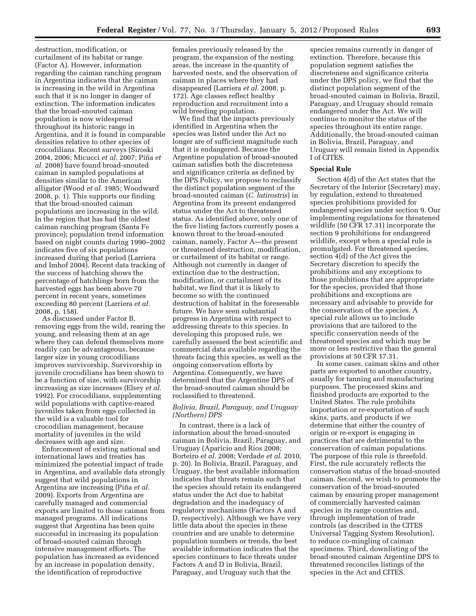destruction, modification, or curtailment of its habitat or range (Factor A). However, information regarding the caiman ranching program in Argentina indicates that the caiman is increasing in the wild in Argentina such that it is no longer in danger of extinction. The information indicates that the broad-snouted caiman population is now widespread throughout its historic range in Argentina, and it is found in comparable densities relative to other species of crocodilians. Recent surveys (Siroski 2004, 2006; Micucci *et al.* 2007; Piña *et al.* 2008) have found broad-snouted caiman in sampled populations at densities similar to the American alligator (Wood *et al.* 1985; Woodward 2008, p. 1). This supports our finding that the broad-snouted caiman populations are increasing in the wild. In the region that has had the oldest caiman ranching program (Santa Fe province); population trend information based on night counts during 1990–2002 indicates five of six populations increased during that period (Larriera and Imhof 2004). Recent data tracking of the success of hatching shows the percentage of hatchlings born from the harvested eggs has been above 70 percent in recent years, sometimes exceeding 80 percent (Larriera *et al.*  2008, p. 158).

As discussed under Factor B, removing eggs from the wild, rearing the young, and releasing them at an age where they can defend themselves more readily can be advantageous, because larger size in young crocodilians improves survivorship. Survivorship in juvenile crocodilians has been shown to be a function of size, with survivorship increasing as size increases (Elsey *et al.*  1992). For crocodilians, supplementing wild populations with captive-reared juveniles taken from eggs collected in the wild is a valuable tool for crocodilian management, because mortality of juveniles in the wild decreases with age and size.

Enforcement of existing national and international laws and treaties has minimized the potential impact of trade in Argentina, and available data strongly suggest that wild populations in Argentina are increasing (Piña *et al.* 2009). Exports from Argentina are carefully managed and commercial exports are limited to those caiman from managed programs. All indications suggest that Argentina has been quite successful in increasing its population of broad-snouted caiman through intensive management efforts. The population has increased as evidenced by an increase in population density, the identification of reproductive

females previously released by the program, the expansion of the nesting areas, the increase in the quantity of harvested nests, and the observation of caiman in places where they had disappeared (Larriera *et al.* 2008, p. 172). Age classes reflect healthy reproduction and recruitment into a wild breeding population.

We find that the impacts previously identified in Argentina when the species was listed under the Act no longer are of sufficient magnitude such that it is endangered. Because the Argentine population of broad-snouted caiman satisfies both the discreteness and significance criteria as defined by the DPS Policy, we propose to reclassify the distinct population segment of the broad-snouted caiman (*C. latirostris*) in Argentina from its present endangered status under the Act to threatened status. As identified above, only one of the five listing factors currently poses a known threat to the broad-snouted caiman, namely, Factor A—the present or threatened destruction, modification, or curtailment of its habitat or range. Although not currently in danger of extinction due to the destruction, modification, or curtailment of its habitat, we find that it is likely to become so with the continued destruction of habitat in the foreseeable future. We have seen substantial progress in Argentina with respect to addressing threats to this species. In developing this proposed rule, we carefully assessed the best scientific and commercial data available regarding the threats facing this species, as well as the ongoing conservation efforts by Argentina. Consequently, we have determined that the Argentine DPS of the broad-snouted caiman should be reclassified to threatened.

#### *Bolivia, Brazil, Paraguay, and Uruguay (Northern) DPS*

In contrast, there is a lack of information about the broad-snouted caiman in Bolivia, Brazil, Paraguay, and Uruguay (Aparicio and Ríos 2008; Borteiro *et al.* 2008; Verdade *et al.* 2010, p. 20). In Bolivia, Brazil, Paraguay, and Uruguay, the best available information indicates that threats remain such that the species should retain its endangered status under the Act due to habitat degradation and the inadequacy of regulatory mechanisms (Factors A and D, respectively). Although we have very little data about the species in these countries and are unable to determine population numbers or trends, the best available information indicates that the species continues to face threats under Factors A and D in Bolivia, Brazil, Paraguay, and Uruguay such that the

species remains currently in danger of extinction. Therefore, because this population segment satisfies the discreteness and significance criteria under the DPS policy, we find that the distinct population segment of the broad-snouted caiman in Bolivia, Brazil, Paraguay, and Uruguay should remain endangered under the Act. We will continue to monitor the status of the species throughout its entire range. Additionally, the broad-snouted caiman in Bolivia, Brazil, Paraguay, and Uruguay will remain listed in Appendix I of CITES.

#### **Special Rule**

Section 4(d) of the Act states that the Secretary of the Interior (Secretary) may, by regulation, extend to threatened species prohibitions provided for endangered species under section 9. Our implementing regulations for threatened wildlife (50 CFR 17.31) incorporate the section 9 prohibitions for endangered wildlife, except when a special rule is promulgated. For threatened species, section 4(d) of the Act gives the Secretary discretion to specify the prohibitions and any exceptions to those prohibitions that are appropriate for the species, provided that those prohibitions and exceptions are necessary and advisable to provide for the conservation of the species. A special rule allows us to include provisions that are tailored to the specific conservation needs of the threatened species and which may be more or less restrictive than the general provisions at 50 CFR 17.31.

In some cases, caiman skins and other parts are exported to another country, usually for tanning and manufacturing purposes. The processed skins and finished products are exported to the United States. The rule prohibits importation or re-exportation of such skins, parts, and products if we determine that either the country of origin or re-export is engaging in practices that are detrimental to the conservation of caiman populations. The purpose of this rule is threefold. First, the rule accurately reflects the conservation status of the broad-snouted caiman. Second, we wish to promote the conservation of the broad-snouted caiman by ensuring proper management of commercially harvested caiman species in its range countries and, through implementation of trade controls (as described in the CITES Universal Tagging System Resolution), to reduce co-mingling of caiman specimens. Third, downlisting of the broad-snouted caiman Argentine DPS to threatened reconciles listings of the species in the Act and CITES.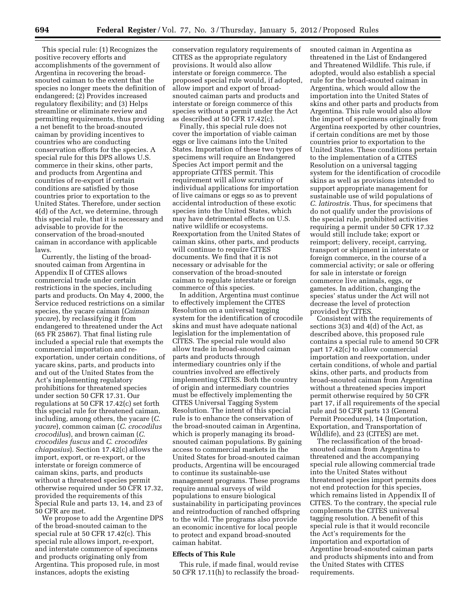This special rule: (1) Recognizes the positive recovery efforts and accomplishments of the government of Argentina in recovering the broadsnouted caiman to the extent that the species no longer meets the definition of endangered; (2) Provides increased regulatory flexibility; and (3) Helps streamline or eliminate review and permitting requirements, thus providing a net benefit to the broad-snouted caiman by providing incentives to countries who are conducting conservation efforts for the species. A special rule for this DPS allows U.S. commerce in their skins, other parts, and products from Argentina and countries of re-export if certain conditions are satisfied by those countries prior to exportation to the United States. Therefore, under section 4(d) of the Act, we determine, through this special rule, that it is necessary and advisable to provide for the conservation of the broad-snouted caiman in accordance with applicable laws.

Currently, the listing of the broadsnouted caiman from Argentina in Appendix II of CITES allows commercial trade under certain restrictions in the species, including parts and products. On May 4, 2000, the Service reduced restrictions on a similar species, the yacare caiman (*Caiman yacare*), by reclassifying it from endangered to threatened under the Act (65 FR 25867). That final listing rule included a special rule that exempts the commercial importation and reexportation, under certain conditions, of yacare skins, parts, and products into and out of the United States from the Act's implementing regulatory prohibitions for threatened species under section 50 CFR 17.31. Our regulations at 50 CFR 17.42(c) set forth this special rule for threatened caiman, including, among others, the yacare (*C. yacare*), common caiman (*C. crocodilus crocodilus*), and brown caiman (*C. crocodiles fuscus* and *C. crocodiles chiapasius*). Section 17.42(c) allows the import, export, or re-export, or the interstate or foreign commerce of caiman skins, parts, and products without a threatened species permit otherwise required under 50 CFR 17.32, provided the requirements of this Special Rule and parts 13, 14, and 23 of 50 CFR are met.

We propose to add the Argentine DPS of the broad-snouted caiman to the special rule at 50 CFR 17.42(c). This special rule allows import, re-export, and interstate commerce of specimens and products originating only from Argentina. This proposed rule, in most instances, adopts the existing

conservation regulatory requirements of CITES as the appropriate regulatory provisions. It would also allow interstate or foreign commerce. The proposed special rule would, if adopted, allow import and export of broadsnouted caiman parts and products and interstate or foreign commerce of this species without a permit under the Act as described at 50 CFR 17.42(c).

Finally, this special rule does not cover the importation of viable caiman eggs or live caimans into the United States. Importation of these two types of specimens will require an Endangered Species Act import permit and the appropriate CITES permit. This requirement will allow scrutiny of individual applications for importation of live caimans or eggs so as to prevent accidental introduction of these exotic species into the United States, which may have detrimental effects on U.S. native wildlife or ecosystems. Reexportation from the United States of caiman skins, other parts, and products will continue to require CITES documents. We find that it is not necessary or advisable for the conservation of the broad-snouted caiman to regulate interstate or foreign commerce of this species.

In addition, Argentina must continue to effectively implement the CITES Resolution on a universal tagging system for the identification of crocodile skins and must have adequate national legislation for the implementation of CITES. The special rule would also allow trade in broad-snouted caiman parts and products through intermediary countries only if the countries involved are effectively implementing CITES. Both the country of origin and intermediary countries must be effectively implementing the CITES Universal Tagging System Resolution. The intent of this special rule is to enhance the conservation of the broad-snouted caiman in Argentina, which is properly managing its broadsnouted caiman populations. By gaining access to commercial markets in the United States for broad-snouted caiman products, Argentina will be encouraged to continue its sustainable-use management programs. These programs require annual surveys of wild populations to ensure biological sustainability in participating provinces and reintroduction of ranched offspring to the wild. The programs also provide an economic incentive for local people to protect and expand broad-snouted caiman habitat.

#### **Effects of This Rule**

This rule, if made final, would revise 50 CFR 17.11(h) to reclassify the broad-

snouted caiman in Argentina as threatened in the List of Endangered and Threatened Wildlife. This rule, if adopted, would also establish a special rule for the broad-snouted caiman in Argentina, which would allow the importation into the United States of skins and other parts and products from Argentina. This rule would also allow the import of specimens originally from Argentina reexported by other countries, if certain conditions are met by those countries prior to exportation to the United States. These conditions pertain to the implementation of a CITES Resolution on a universal tagging system for the identification of crocodile skins as well as provisions intended to support appropriate management for sustainable use of wild populations of *C. latirostris.* Thus, for specimens that do not qualify under the provisions of the special rule, prohibited activities requiring a permit under 50 CFR 17.32 would still include take; export or reimport; delivery, receipt, carrying, transport or shipment in interstate or foreign commerce, in the course of a commercial activity; or sale or offering for sale in interstate or foreign commerce live animals, eggs, or gametes. In addition, changing the species' status under the Act will not decrease the level of protection provided by CITES.

Consistent with the requirements of sections 3(3) and 4(d) of the Act, as described above, this proposed rule contains a special rule to amend 50 CFR part 17.42(c) to allow commercial importation and reexportation, under certain conditions, of whole and partial skins, other parts, and products from broad-snouted caiman from Argentina without a threatened species import permit otherwise required by 50 CFR part 17, if all requirements of the special rule and 50 CFR parts 13 (General Permit Procedures), 14 (Importation, Exportation, and Transportation of Wildlife), and 23 (CITES) are met.

The reclassification of the broadsnouted caiman from Argentina to threatened and the accompanying special rule allowing commercial trade into the United States without threatened species import permits does not end protection for this species, which remains listed in Appendix II of CITES. To the contrary, the special rule complements the CITES universal tagging resolution. A benefit of this special rule is that it would reconcile the Act's requirements for the importation and exportation of Argentine broad-snouted caiman parts and products shipments into and from the United States with CITES requirements.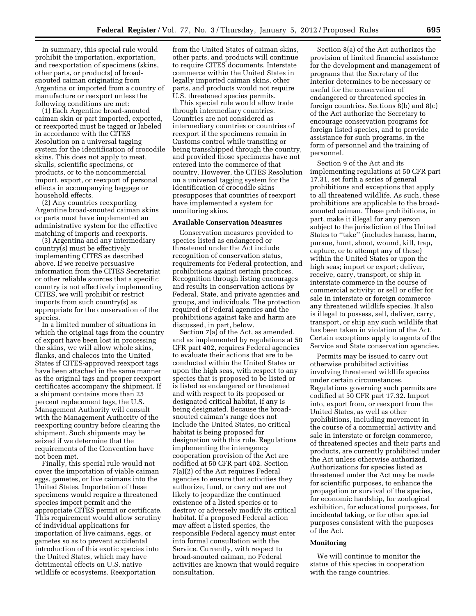In summary, this special rule would prohibit the importation, exportation, and reexportation of specimens (skins, other parts, or products) of broadsnouted caiman originating from Argentina or imported from a country of manufacture or reexport unless the following conditions are met:

(1) Each Argentine broad-snouted caiman skin or part imported, exported, or reexported must be tagged or labeled in accordance with the CITES Resolution on a universal tagging system for the identification of crocodile skins. This does not apply to meat, skulls, scientific specimens, or products, or to the noncommercial import, export, or reexport of personal effects in accompanying baggage or household effects.

(2) Any countries reexporting Argentine broad-snouted caiman skins or parts must have implemented an administrative system for the effective matching of imports and reexports.

(3) Argentina and any intermediary country(s) must be effectively implementing CITES as described above. If we receive persuasive information from the CITES Secretariat or other reliable sources that a specific country is not effectively implementing CITES, we will prohibit or restrict imports from such country(s) as appropriate for the conservation of the species.

In a limited number of situations in which the original tags from the country of export have been lost in processing the skins, we will allow whole skins, flanks, and chalecos into the United States if CITES-approved reexport tags have been attached in the same manner as the original tags and proper reexport certificates accompany the shipment. If a shipment contains more than 25 percent replacement tags, the U.S. Management Authority will consult with the Management Authority of the reexporting country before clearing the shipment. Such shipments may be seized if we determine that the requirements of the Convention have not been met.

Finally, this special rule would not cover the importation of viable caiman eggs, gametes, or live caimans into the United States. Importation of these specimens would require a threatened species import permit and the appropriate CITES permit or certificate. This requirement would allow scrutiny of individual applications for importation of live caimans, eggs, or gametes so as to prevent accidental introduction of this exotic species into the United States, which may have detrimental effects on U.S. native wildlife or ecosystems. Reexportation

from the United States of caiman skins, other parts, and products will continue to require CITES documents. Interstate commerce within the United States in legally imported caiman skins, other parts, and products would not require U.S. threatened species permits.

This special rule would allow trade through intermediary countries. Countries are not considered as intermediary countries or countries of reexport if the specimens remain in Customs control while transiting or being transshipped through the country, and provided those specimens have not entered into the commerce of that country. However, the CITES Resolution on a universal tagging system for the identification of crocodile skins presupposes that countries of reexport have implemented a system for monitoring skins.

#### **Available Conservation Measures**

Conservation measures provided to species listed as endangered or threatened under the Act include recognition of conservation status, requirements for Federal protection, and prohibitions against certain practices. Recognition through listing encourages and results in conservation actions by Federal, State, and private agencies and groups, and individuals. The protection required of Federal agencies and the prohibitions against take and harm are discussed, in part, below.

Section 7(a) of the Act, as amended, and as implemented by regulations at 50 CFR part 402, requires Federal agencies to evaluate their actions that are to be conducted within the United States or upon the high seas, with respect to any species that is proposed to be listed or is listed as endangered or threatened and with respect to its proposed or designated critical habitat, if any is being designated. Because the broadsnouted caiman's range does not include the United States, no critical habitat is being proposed for designation with this rule. Regulations implementing the interagency cooperation provision of the Act are codified at 50 CFR part 402. Section 7(a)(2) of the Act requires Federal agencies to ensure that activities they authorize, fund, or carry out are not likely to jeopardize the continued existence of a listed species or to destroy or adversely modify its critical habitat. If a proposed Federal action may affect a listed species, the responsible Federal agency must enter into formal consultation with the Service. Currently, with respect to broad-snouted caiman, no Federal activities are known that would require consultation.

Section 8(a) of the Act authorizes the provision of limited financial assistance for the development and management of programs that the Secretary of the Interior determines to be necessary or useful for the conservation of endangered or threatened species in foreign countries. Sections 8(b) and 8(c) of the Act authorize the Secretary to encourage conservation programs for foreign listed species, and to provide assistance for such programs, in the form of personnel and the training of personnel.

Section 9 of the Act and its implementing regulations at 50 CFR part 17.31, set forth a series of general prohibitions and exceptions that apply to all threatened wildlife. As such, these prohibitions are applicable to the broadsnouted caiman. These prohibitions, in part, make it illegal for any person subject to the jurisdiction of the United States to ''take'' (includes harass, harm, pursue, hunt, shoot, wound, kill, trap, capture, or to attempt any of these) within the United States or upon the high seas; import or export; deliver, receive, carry, transport, or ship in interstate commerce in the course of commercial activity; or sell or offer for sale in interstate or foreign commerce any threatened wildlife species. It also is illegal to possess, sell, deliver, carry, transport, or ship any such wildlife that has been taken in violation of the Act. Certain exceptions apply to agents of the Service and State conservation agencies.

Permits may be issued to carry out otherwise prohibited activities involving threatened wildlife species under certain circumstances. Regulations governing such permits are codified at 50 CFR part 17.32. Import into, export from, or reexport from the United States, as well as other prohibitions, including movement in the course of a commercial activity and sale in interstate or foreign commerce, of threatened species and their parts and products, are currently prohibited under the Act unless otherwise authorized. Authorizations for species listed as threatened under the Act may be made for scientific purposes, to enhance the propagation or survival of the species, for economic hardship, for zoological exhibition, for educational purposes, for incidental taking, or for other special purposes consistent with the purposes of the Act.

#### **Monitoring**

We will continue to monitor the status of this species in cooperation with the range countries.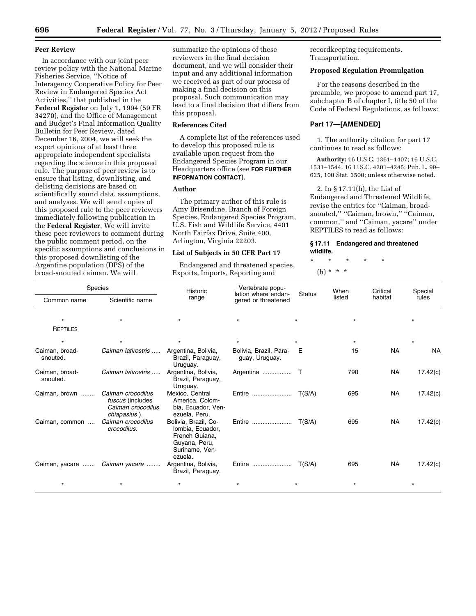#### **Peer Review**

In accordance with our joint peer review policy with the National Marine Fisheries Service, ''Notice of Interagency Cooperative Policy for Peer Review in Endangered Species Act Activities,'' that published in the **Federal Register** on July 1, 1994 (59 FR 34270), and the Office of Management and Budget's Final Information Quality Bulletin for Peer Review, dated December 16, 2004, we will seek the expert opinions of at least three appropriate independent specialists regarding the science in this proposed rule. The purpose of peer review is to ensure that listing, downlisting, and delisting decisions are based on scientifically sound data, assumptions, and analyses. We will send copies of this proposed rule to the peer reviewers immediately following publication in the **Federal Register**. We will invite these peer reviewers to comment during the public comment period, on the specific assumptions and conclusions in this proposed downlisting of the Argentine population (DPS) of the broad-snouted caiman. We will

summarize the opinions of these reviewers in the final decision document, and we will consider their input and any additional information we received as part of our process of making a final decision on this proposal. Such communication may lead to a final decision that differs from this proposal.

#### **References Cited**

A complete list of the references used to develop this proposed rule is available upon request from the Endangered Species Program in our Headquarters office (see **FOR FURTHER INFORMATION CONTACT**).

#### **Author**

The primary author of this rule is Amy Brisendine, Branch of Foreign Species, Endangered Species Program, U.S. Fish and Wildlife Service, 4401 North Fairfax Drive, Suite 400, Arlington, Virginia 22203.

#### **List of Subjects in 50 CFR Part 17**

Endangered and threatened species, Exports, Imports, Reporting and

recordkeeping requirements, Transportation.

#### **Proposed Regulation Promulgation**

For the reasons described in the preamble, we propose to amend part 17, subchapter B of chapter I, title 50 of the Code of Federal Regulations, as follows:

#### **Part 17—[AMENDED]**

1. The authority citation for part 17 continues to read as follows:

**Authority:** 16 U.S.C. 1361–1407; 16 U.S.C. 1531–1544; 16 U.S.C. 4201–4245; Pub. L. 99– 625, 100 Stat. 3500; unless otherwise noted.

2. In § 17.11(h), the List of Endangered and Threatened Wildlife, revise the entries for ''Caiman, broadsnouted,'' ''Caiman, brown,'' ''Caiman, common,'' and ''Caiman, yacare'' under REPTILES to read as follows:

#### **§ 17.11 Endangered and threatened wildlife.**

\* \* \* \* \*

### (h) \* \* \*

| <b>Species</b>             |                                                                            | Historic                                                                                                 | Vertebrate popu-                           |               | When    | Critical  | Special   |
|----------------------------|----------------------------------------------------------------------------|----------------------------------------------------------------------------------------------------------|--------------------------------------------|---------------|---------|-----------|-----------|
| Common name                | Scientific name                                                            | range                                                                                                    | lation where endan-<br>gered or threatened | <b>Status</b> | listed  | habitat   | rules     |
| $\star$                    |                                                                            |                                                                                                          | $\star$                                    |               | $\star$ |           |           |
| REPTILES                   |                                                                            |                                                                                                          |                                            |               |         |           |           |
| $\star$                    |                                                                            | $\star$                                                                                                  | $\star$                                    |               | $\star$ |           | $\star$   |
| Caiman, broad-<br>snouted. | Caiman latirostris                                                         | Argentina, Bolivia,<br>Brazil, Paraguay,<br>Uruguay.                                                     | Bolivia, Brazil, Para-<br>guay, Uruguay.   | E             | 15      | <b>NA</b> | <b>NA</b> |
| Caiman, broad-<br>snouted. | Caiman latirostris                                                         | Argentina, Bolivia,<br>Brazil, Paraguay,<br>Uruguay.                                                     |                                            |               | 790     | <b>NA</b> | 17.42(c)  |
| Caiman, brown              | Caiman crocodilus<br>fuscus (includes<br>Caiman crocodilus<br>chiapasius). | Mexico, Central<br>America, Colom-<br>bia, Ecuador, Ven-<br>ezuela, Peru.                                | Entire                                     | T(S/A)        | 695     | NA        | 17.42(c)  |
| Caiman, common             | Caiman crocodilus<br>crocodilus.                                           | Bolivia, Brazil, Co-<br>Iombia, Ecuador,<br>French Guiana,<br>Guyana, Peru,<br>Suriname, Ven-<br>ezuela. | Entire                                     | T(S/A)        | 695     | <b>NA</b> | 17.42(c)  |
| Caiman, yacare             | Caiman yacare                                                              | Argentina, Bolivia,<br>Brazil, Paraguay.                                                                 | Entire                                     | T(S/A)        | 695     | NA        | 17.42(c)  |
|                            |                                                                            | $\star$                                                                                                  | $\star$                                    |               |         |           |           |